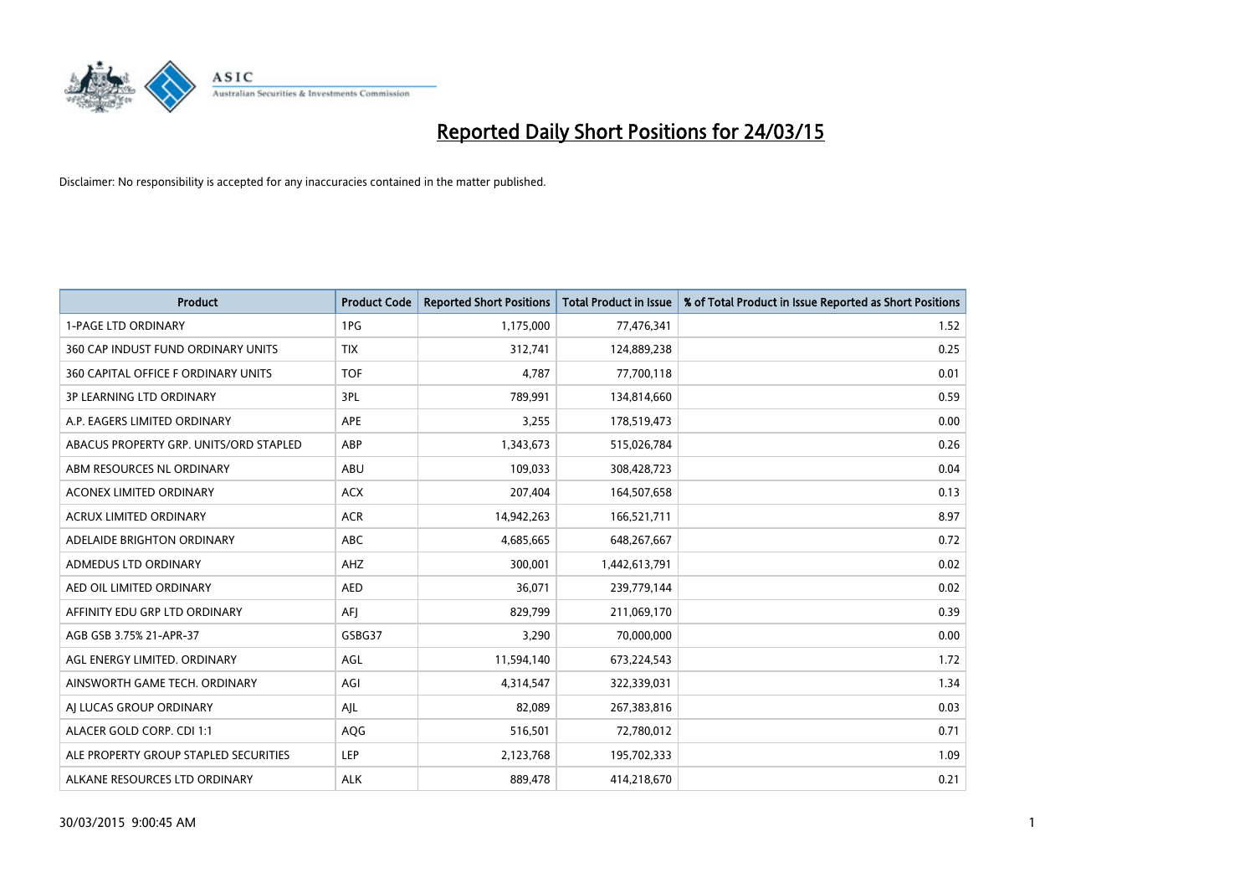

| <b>Product</b>                         | <b>Product Code</b> | <b>Reported Short Positions</b> | <b>Total Product in Issue</b> | % of Total Product in Issue Reported as Short Positions |
|----------------------------------------|---------------------|---------------------------------|-------------------------------|---------------------------------------------------------|
| <b>1-PAGE LTD ORDINARY</b>             | 1PG                 | 1,175,000                       | 77,476,341                    | 1.52                                                    |
| 360 CAP INDUST FUND ORDINARY UNITS     | <b>TIX</b>          | 312,741                         | 124,889,238                   | 0.25                                                    |
| 360 CAPITAL OFFICE F ORDINARY UNITS    | <b>TOF</b>          | 4,787                           | 77,700,118                    | 0.01                                                    |
| <b>3P LEARNING LTD ORDINARY</b>        | 3PL                 | 789,991                         | 134,814,660                   | 0.59                                                    |
| A.P. EAGERS LIMITED ORDINARY           | APE                 | 3,255                           | 178,519,473                   | 0.00                                                    |
| ABACUS PROPERTY GRP. UNITS/ORD STAPLED | ABP                 | 1,343,673                       | 515,026,784                   | 0.26                                                    |
| ABM RESOURCES NL ORDINARY              | ABU                 | 109,033                         | 308,428,723                   | 0.04                                                    |
| ACONEX LIMITED ORDINARY                | <b>ACX</b>          | 207,404                         | 164,507,658                   | 0.13                                                    |
| <b>ACRUX LIMITED ORDINARY</b>          | <b>ACR</b>          | 14,942,263                      | 166,521,711                   | 8.97                                                    |
| ADELAIDE BRIGHTON ORDINARY             | <b>ABC</b>          | 4,685,665                       | 648,267,667                   | 0.72                                                    |
| ADMEDUS LTD ORDINARY                   | AHZ                 | 300,001                         | 1,442,613,791                 | 0.02                                                    |
| AED OIL LIMITED ORDINARY               | AED                 | 36,071                          | 239,779,144                   | 0.02                                                    |
| AFFINITY EDU GRP LTD ORDINARY          | AFJ                 | 829,799                         | 211,069,170                   | 0.39                                                    |
| AGB GSB 3.75% 21-APR-37                | GSBG37              | 3,290                           | 70,000,000                    | 0.00                                                    |
| AGL ENERGY LIMITED. ORDINARY           | AGL                 | 11,594,140                      | 673,224,543                   | 1.72                                                    |
| AINSWORTH GAME TECH. ORDINARY          | AGI                 | 4,314,547                       | 322,339,031                   | 1.34                                                    |
| AI LUCAS GROUP ORDINARY                | AJL                 | 82,089                          | 267,383,816                   | 0.03                                                    |
| ALACER GOLD CORP. CDI 1:1              | AQG                 | 516,501                         | 72,780,012                    | 0.71                                                    |
| ALE PROPERTY GROUP STAPLED SECURITIES  | <b>LEP</b>          | 2,123,768                       | 195,702,333                   | 1.09                                                    |
| ALKANE RESOURCES LTD ORDINARY          | <b>ALK</b>          | 889,478                         | 414,218,670                   | 0.21                                                    |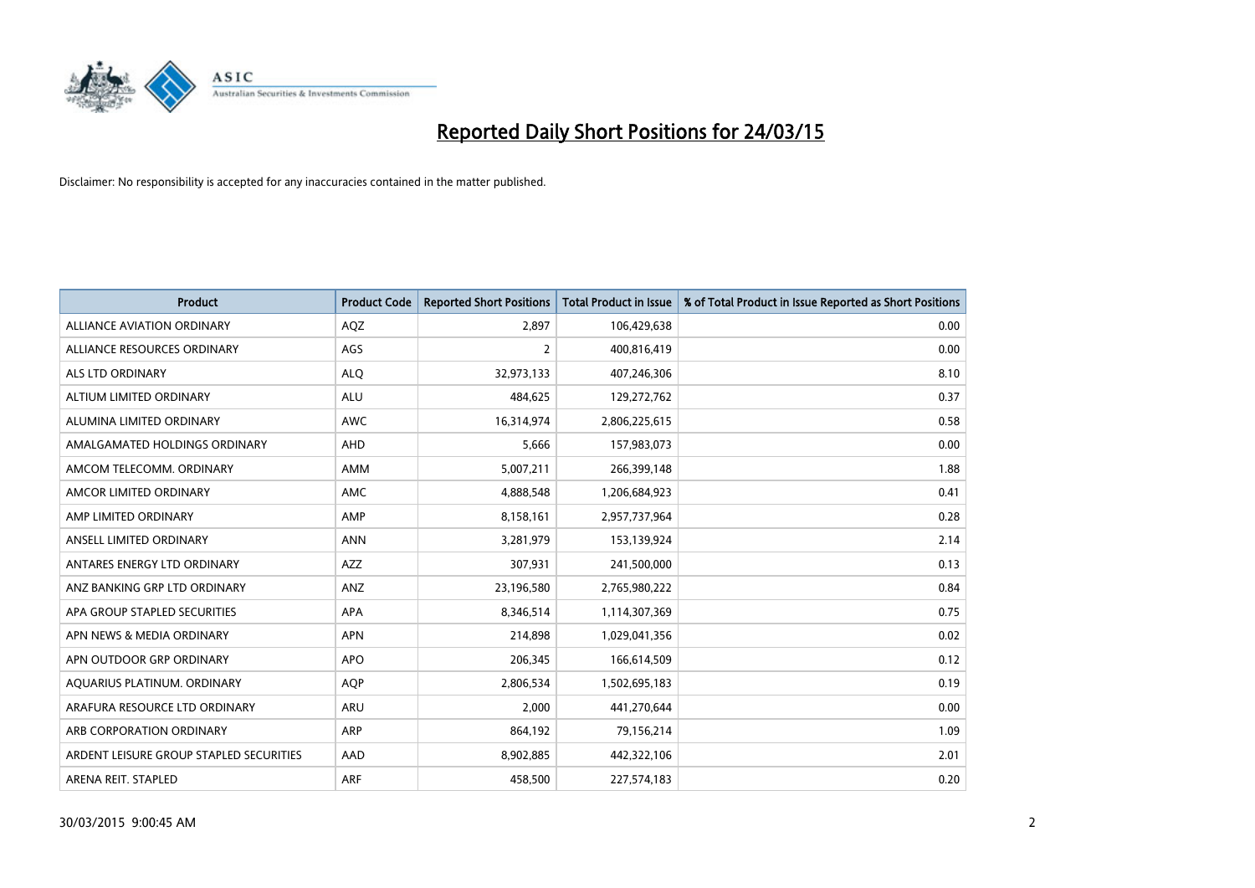

| <b>Product</b>                          | <b>Product Code</b> | <b>Reported Short Positions</b> | <b>Total Product in Issue</b> | % of Total Product in Issue Reported as Short Positions |
|-----------------------------------------|---------------------|---------------------------------|-------------------------------|---------------------------------------------------------|
| <b>ALLIANCE AVIATION ORDINARY</b>       | AQZ                 | 2,897                           | 106,429,638                   | 0.00                                                    |
| ALLIANCE RESOURCES ORDINARY             | AGS                 | $\overline{2}$                  | 400,816,419                   | 0.00                                                    |
| ALS LTD ORDINARY                        | <b>ALQ</b>          | 32,973,133                      | 407,246,306                   | 8.10                                                    |
| ALTIUM LIMITED ORDINARY                 | <b>ALU</b>          | 484,625                         | 129,272,762                   | 0.37                                                    |
| ALUMINA LIMITED ORDINARY                | <b>AWC</b>          | 16,314,974                      | 2,806,225,615                 | 0.58                                                    |
| AMALGAMATED HOLDINGS ORDINARY           | AHD                 | 5,666                           | 157,983,073                   | 0.00                                                    |
| AMCOM TELECOMM. ORDINARY                | AMM                 | 5,007,211                       | 266,399,148                   | 1.88                                                    |
| AMCOR LIMITED ORDINARY                  | AMC                 | 4,888,548                       | 1,206,684,923                 | 0.41                                                    |
| AMP LIMITED ORDINARY                    | AMP                 | 8,158,161                       | 2,957,737,964                 | 0.28                                                    |
| ANSELL LIMITED ORDINARY                 | <b>ANN</b>          | 3,281,979                       | 153,139,924                   | 2.14                                                    |
| ANTARES ENERGY LTD ORDINARY             | <b>AZZ</b>          | 307,931                         | 241,500,000                   | 0.13                                                    |
| ANZ BANKING GRP LTD ORDINARY            | ANZ                 | 23,196,580                      | 2,765,980,222                 | 0.84                                                    |
| APA GROUP STAPLED SECURITIES            | APA                 | 8,346,514                       | 1,114,307,369                 | 0.75                                                    |
| APN NEWS & MEDIA ORDINARY               | <b>APN</b>          | 214,898                         | 1,029,041,356                 | 0.02                                                    |
| APN OUTDOOR GRP ORDINARY                | <b>APO</b>          | 206,345                         | 166,614,509                   | 0.12                                                    |
| AQUARIUS PLATINUM. ORDINARY             | AQP                 | 2,806,534                       | 1,502,695,183                 | 0.19                                                    |
| ARAFURA RESOURCE LTD ORDINARY           | ARU                 | 2,000                           | 441,270,644                   | 0.00                                                    |
| ARB CORPORATION ORDINARY                | ARP                 | 864,192                         | 79,156,214                    | 1.09                                                    |
| ARDENT LEISURE GROUP STAPLED SECURITIES | AAD                 | 8,902,885                       | 442,322,106                   | 2.01                                                    |
| ARENA REIT. STAPLED                     | ARF                 | 458,500                         | 227,574,183                   | 0.20                                                    |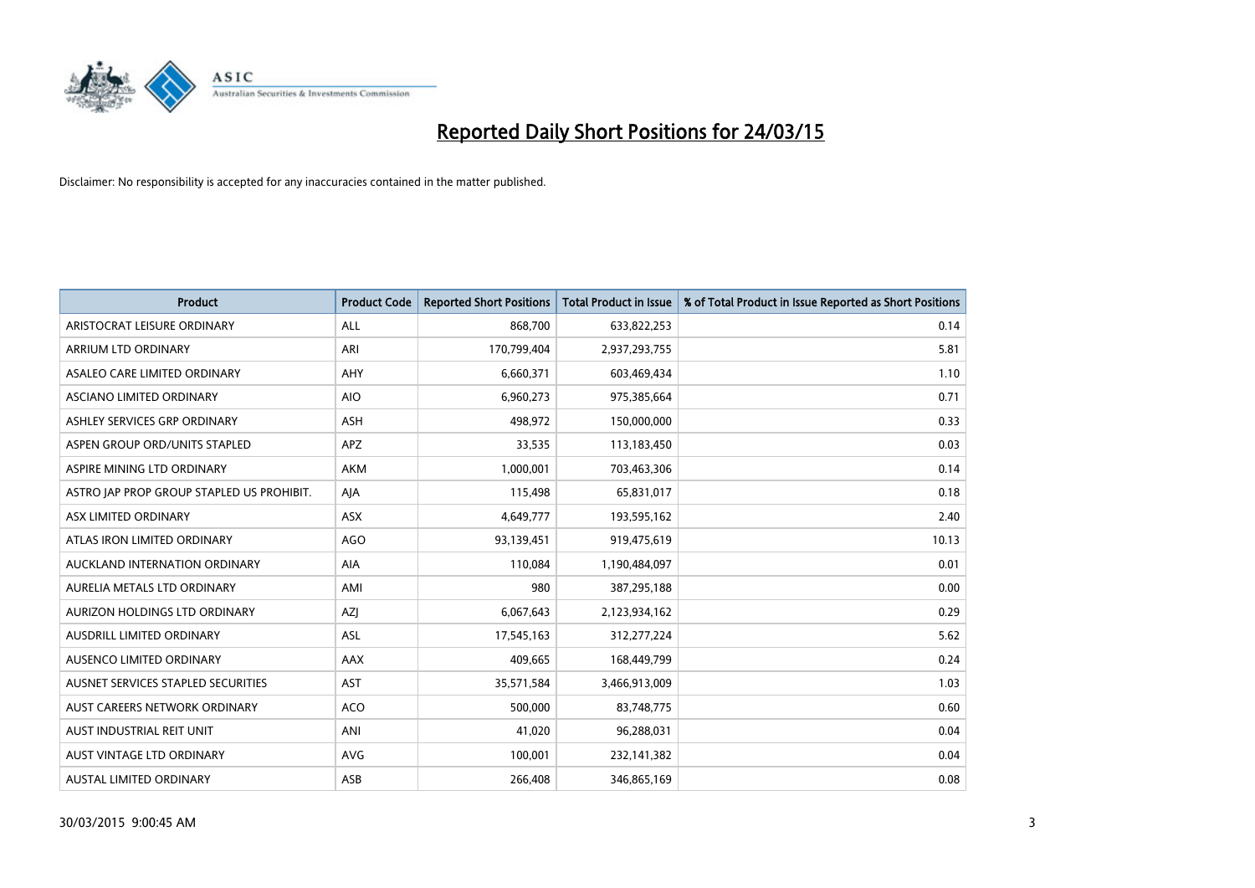

| <b>Product</b>                            | <b>Product Code</b> | <b>Reported Short Positions</b> | <b>Total Product in Issue</b> | % of Total Product in Issue Reported as Short Positions |
|-------------------------------------------|---------------------|---------------------------------|-------------------------------|---------------------------------------------------------|
| ARISTOCRAT LEISURE ORDINARY               | ALL                 | 868,700                         | 633,822,253                   | 0.14                                                    |
| ARRIUM LTD ORDINARY                       | ARI                 | 170,799,404                     | 2,937,293,755                 | 5.81                                                    |
| ASALEO CARE LIMITED ORDINARY              | AHY                 | 6,660,371                       | 603,469,434                   | 1.10                                                    |
| ASCIANO LIMITED ORDINARY                  | <b>AIO</b>          | 6,960,273                       | 975,385,664                   | 0.71                                                    |
| ASHLEY SERVICES GRP ORDINARY              | ASH                 | 498,972                         | 150,000,000                   | 0.33                                                    |
| ASPEN GROUP ORD/UNITS STAPLED             | <b>APZ</b>          | 33,535                          | 113,183,450                   | 0.03                                                    |
| ASPIRE MINING LTD ORDINARY                | AKM                 | 1,000,001                       | 703,463,306                   | 0.14                                                    |
| ASTRO JAP PROP GROUP STAPLED US PROHIBIT. | AJA                 | 115,498                         | 65,831,017                    | 0.18                                                    |
| ASX LIMITED ORDINARY                      | ASX                 | 4,649,777                       | 193,595,162                   | 2.40                                                    |
| ATLAS IRON LIMITED ORDINARY               | AGO                 | 93,139,451                      | 919,475,619                   | 10.13                                                   |
| AUCKLAND INTERNATION ORDINARY             | AIA                 | 110,084                         | 1,190,484,097                 | 0.01                                                    |
| AURELIA METALS LTD ORDINARY               | AMI                 | 980                             | 387,295,188                   | 0.00                                                    |
| AURIZON HOLDINGS LTD ORDINARY             | AZJ                 | 6,067,643                       | 2,123,934,162                 | 0.29                                                    |
| AUSDRILL LIMITED ORDINARY                 | ASL                 | 17,545,163                      | 312,277,224                   | 5.62                                                    |
| AUSENCO LIMITED ORDINARY                  | AAX                 | 409,665                         | 168,449,799                   | 0.24                                                    |
| AUSNET SERVICES STAPLED SECURITIES        | AST                 | 35,571,584                      | 3,466,913,009                 | 1.03                                                    |
| AUST CAREERS NETWORK ORDINARY             | <b>ACO</b>          | 500,000                         | 83,748,775                    | 0.60                                                    |
| AUST INDUSTRIAL REIT UNIT                 | ANI                 | 41,020                          | 96,288,031                    | 0.04                                                    |
| AUST VINTAGE LTD ORDINARY                 | <b>AVG</b>          | 100,001                         | 232,141,382                   | 0.04                                                    |
| AUSTAL LIMITED ORDINARY                   | ASB                 | 266,408                         | 346,865,169                   | 0.08                                                    |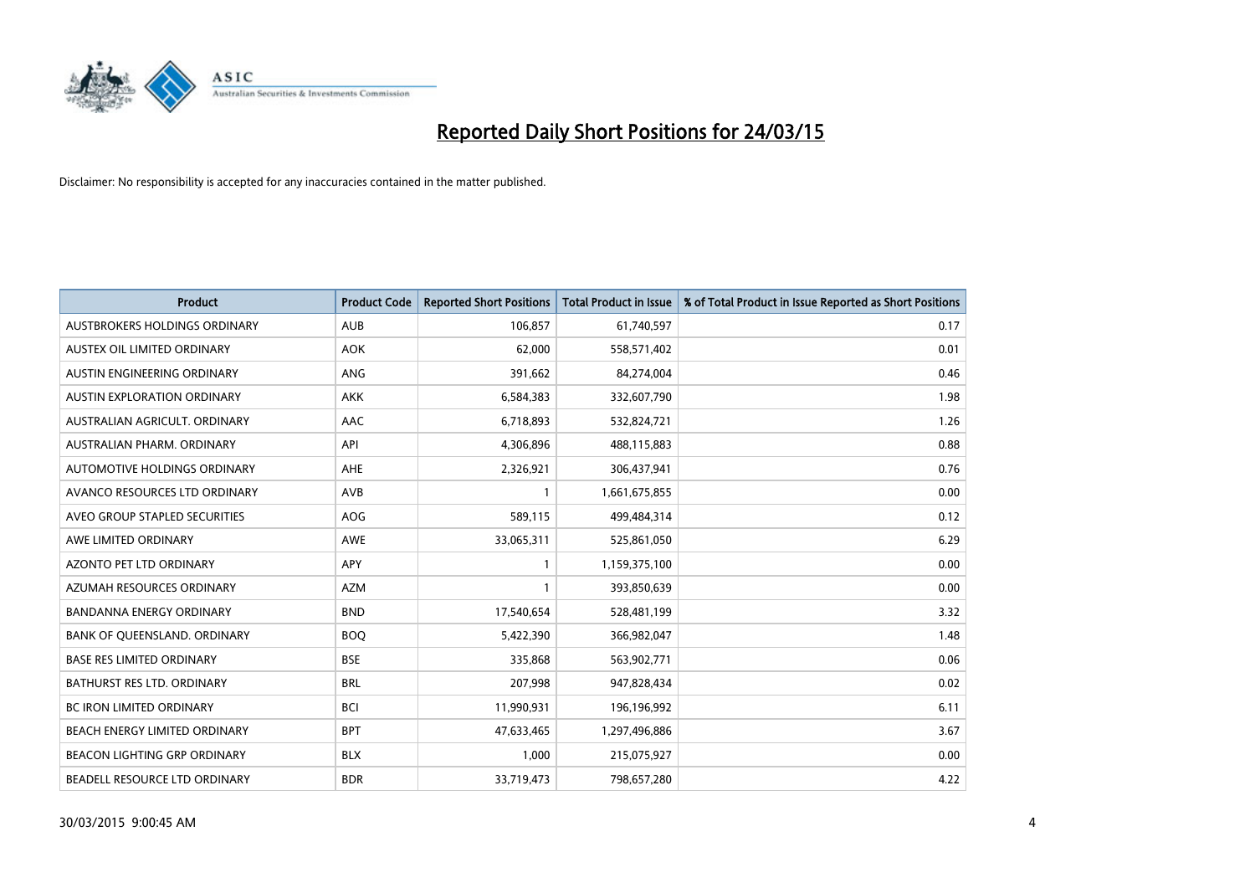

| <b>Product</b>                      | <b>Product Code</b> | <b>Reported Short Positions</b> | <b>Total Product in Issue</b> | % of Total Product in Issue Reported as Short Positions |
|-------------------------------------|---------------------|---------------------------------|-------------------------------|---------------------------------------------------------|
| AUSTBROKERS HOLDINGS ORDINARY       | <b>AUB</b>          | 106,857                         | 61,740,597                    | 0.17                                                    |
| AUSTEX OIL LIMITED ORDINARY         | <b>AOK</b>          | 62,000                          | 558,571,402                   | 0.01                                                    |
| AUSTIN ENGINEERING ORDINARY         | ANG                 | 391,662                         | 84,274,004                    | 0.46                                                    |
| AUSTIN EXPLORATION ORDINARY         | <b>AKK</b>          | 6,584,383                       | 332,607,790                   | 1.98                                                    |
| AUSTRALIAN AGRICULT, ORDINARY       | AAC                 | 6,718,893                       | 532,824,721                   | 1.26                                                    |
| AUSTRALIAN PHARM, ORDINARY          | API                 | 4,306,896                       | 488,115,883                   | 0.88                                                    |
| AUTOMOTIVE HOLDINGS ORDINARY        | AHE                 | 2,326,921                       | 306,437,941                   | 0.76                                                    |
| AVANCO RESOURCES LTD ORDINARY       | AVB                 | $\mathbf{1}$                    | 1,661,675,855                 | 0.00                                                    |
| AVEO GROUP STAPLED SECURITIES       | <b>AOG</b>          | 589,115                         | 499,484,314                   | 0.12                                                    |
| AWE LIMITED ORDINARY                | <b>AWE</b>          | 33,065,311                      | 525,861,050                   | 6.29                                                    |
| AZONTO PET LTD ORDINARY             | APY                 |                                 | 1,159,375,100                 | 0.00                                                    |
| AZUMAH RESOURCES ORDINARY           | AZM                 | $\mathbf{1}$                    | 393,850,639                   | 0.00                                                    |
| <b>BANDANNA ENERGY ORDINARY</b>     | <b>BND</b>          | 17,540,654                      | 528,481,199                   | 3.32                                                    |
| BANK OF QUEENSLAND. ORDINARY        | <b>BOO</b>          | 5,422,390                       | 366,982,047                   | 1.48                                                    |
| <b>BASE RES LIMITED ORDINARY</b>    | <b>BSE</b>          | 335,868                         | 563,902,771                   | 0.06                                                    |
| <b>BATHURST RES LTD. ORDINARY</b>   | <b>BRL</b>          | 207,998                         | 947,828,434                   | 0.02                                                    |
| BC IRON LIMITED ORDINARY            | <b>BCI</b>          | 11,990,931                      | 196,196,992                   | 6.11                                                    |
| BEACH ENERGY LIMITED ORDINARY       | <b>BPT</b>          | 47,633,465                      | 1,297,496,886                 | 3.67                                                    |
| <b>BEACON LIGHTING GRP ORDINARY</b> | <b>BLX</b>          | 1,000                           | 215,075,927                   | 0.00                                                    |
| BEADELL RESOURCE LTD ORDINARY       | <b>BDR</b>          | 33,719,473                      | 798,657,280                   | 4.22                                                    |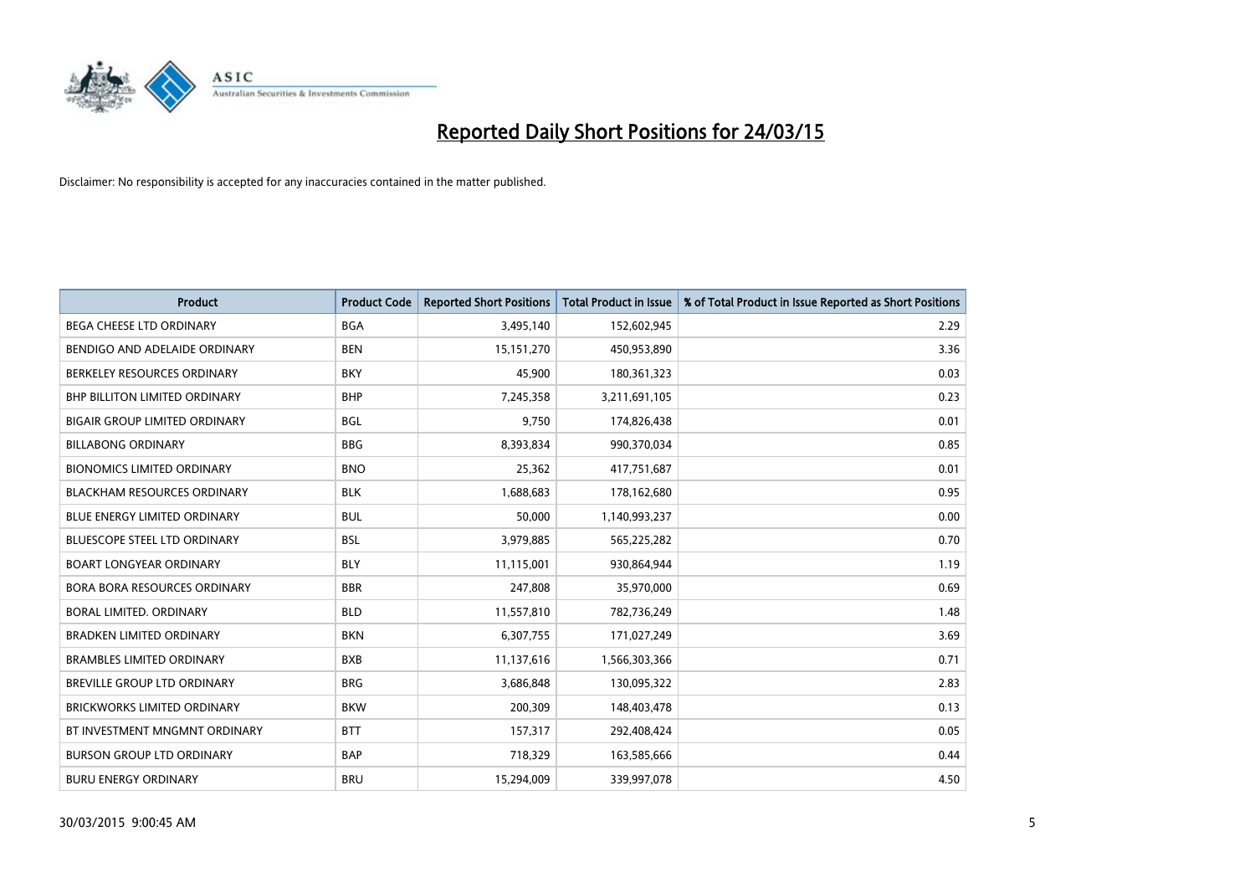

| <b>Product</b>                       | <b>Product Code</b> | <b>Reported Short Positions</b> | <b>Total Product in Issue</b> | % of Total Product in Issue Reported as Short Positions |
|--------------------------------------|---------------------|---------------------------------|-------------------------------|---------------------------------------------------------|
| <b>BEGA CHEESE LTD ORDINARY</b>      | <b>BGA</b>          | 3,495,140                       | 152,602,945                   | 2.29                                                    |
| BENDIGO AND ADELAIDE ORDINARY        | <b>BEN</b>          | 15, 151, 270                    | 450,953,890                   | 3.36                                                    |
| BERKELEY RESOURCES ORDINARY          | <b>BKY</b>          | 45,900                          | 180,361,323                   | 0.03                                                    |
| BHP BILLITON LIMITED ORDINARY        | <b>BHP</b>          | 7,245,358                       | 3,211,691,105                 | 0.23                                                    |
| <b>BIGAIR GROUP LIMITED ORDINARY</b> | <b>BGL</b>          | 9,750                           | 174,826,438                   | 0.01                                                    |
| <b>BILLABONG ORDINARY</b>            | <b>BBG</b>          | 8,393,834                       | 990,370,034                   | 0.85                                                    |
| <b>BIONOMICS LIMITED ORDINARY</b>    | <b>BNO</b>          | 25,362                          | 417,751,687                   | 0.01                                                    |
| <b>BLACKHAM RESOURCES ORDINARY</b>   | <b>BLK</b>          | 1,688,683                       | 178,162,680                   | 0.95                                                    |
| <b>BLUE ENERGY LIMITED ORDINARY</b>  | <b>BUL</b>          | 50,000                          | 1,140,993,237                 | 0.00                                                    |
| <b>BLUESCOPE STEEL LTD ORDINARY</b>  | <b>BSL</b>          | 3,979,885                       | 565,225,282                   | 0.70                                                    |
| <b>BOART LONGYEAR ORDINARY</b>       | <b>BLY</b>          | 11,115,001                      | 930,864,944                   | 1.19                                                    |
| <b>BORA BORA RESOURCES ORDINARY</b>  | <b>BBR</b>          | 247,808                         | 35,970,000                    | 0.69                                                    |
| BORAL LIMITED. ORDINARY              | <b>BLD</b>          | 11,557,810                      | 782,736,249                   | 1.48                                                    |
| <b>BRADKEN LIMITED ORDINARY</b>      | <b>BKN</b>          | 6,307,755                       | 171,027,249                   | 3.69                                                    |
| <b>BRAMBLES LIMITED ORDINARY</b>     | <b>BXB</b>          | 11,137,616                      | 1,566,303,366                 | 0.71                                                    |
| <b>BREVILLE GROUP LTD ORDINARY</b>   | <b>BRG</b>          | 3,686,848                       | 130,095,322                   | 2.83                                                    |
| <b>BRICKWORKS LIMITED ORDINARY</b>   | <b>BKW</b>          | 200,309                         | 148,403,478                   | 0.13                                                    |
| BT INVESTMENT MNGMNT ORDINARY        | <b>BTT</b>          | 157,317                         | 292,408,424                   | 0.05                                                    |
| <b>BURSON GROUP LTD ORDINARY</b>     | <b>BAP</b>          | 718,329                         | 163,585,666                   | 0.44                                                    |
| <b>BURU ENERGY ORDINARY</b>          | <b>BRU</b>          | 15,294,009                      | 339,997,078                   | 4.50                                                    |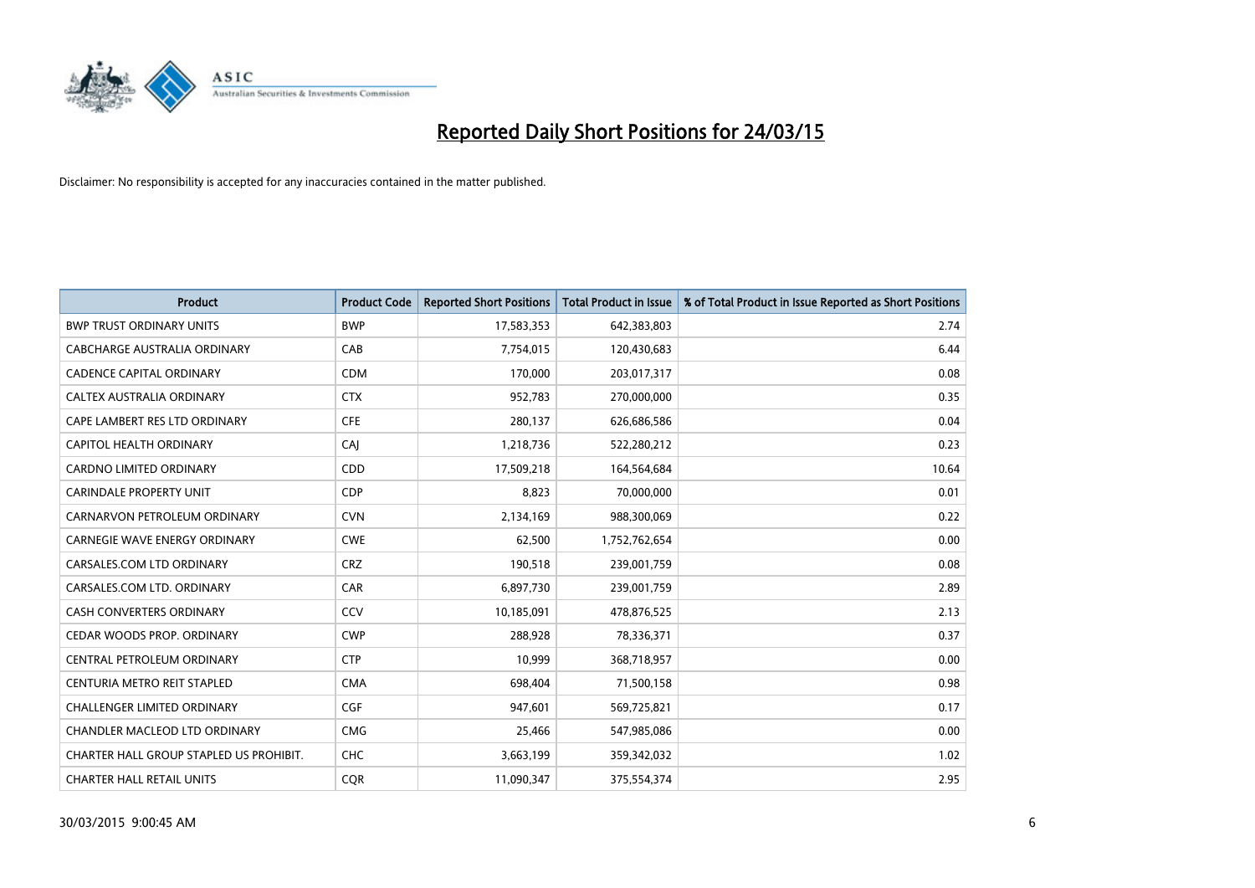

| <b>Product</b>                          | <b>Product Code</b> | <b>Reported Short Positions</b> | <b>Total Product in Issue</b> | % of Total Product in Issue Reported as Short Positions |
|-----------------------------------------|---------------------|---------------------------------|-------------------------------|---------------------------------------------------------|
| <b>BWP TRUST ORDINARY UNITS</b>         | <b>BWP</b>          | 17,583,353                      | 642,383,803                   | 2.74                                                    |
| CABCHARGE AUSTRALIA ORDINARY            | CAB                 | 7,754,015                       | 120,430,683                   | 6.44                                                    |
| <b>CADENCE CAPITAL ORDINARY</b>         | <b>CDM</b>          | 170,000                         | 203,017,317                   | 0.08                                                    |
| CALTEX AUSTRALIA ORDINARY               | <b>CTX</b>          | 952,783                         | 270,000,000                   | 0.35                                                    |
| CAPE LAMBERT RES LTD ORDINARY           | <b>CFE</b>          | 280,137                         | 626,686,586                   | 0.04                                                    |
| <b>CAPITOL HEALTH ORDINARY</b>          | CAJ                 | 1,218,736                       | 522,280,212                   | 0.23                                                    |
| <b>CARDNO LIMITED ORDINARY</b>          | CDD                 | 17,509,218                      | 164,564,684                   | 10.64                                                   |
| CARINDALE PROPERTY UNIT                 | <b>CDP</b>          | 8,823                           | 70,000,000                    | 0.01                                                    |
| CARNARVON PETROLEUM ORDINARY            | <b>CVN</b>          | 2,134,169                       | 988,300,069                   | 0.22                                                    |
| <b>CARNEGIE WAVE ENERGY ORDINARY</b>    | <b>CWE</b>          | 62,500                          | 1,752,762,654                 | 0.00                                                    |
| CARSALES.COM LTD ORDINARY               | <b>CRZ</b>          | 190,518                         | 239,001,759                   | 0.08                                                    |
| CARSALES.COM LTD. ORDINARY              | <b>CAR</b>          | 6,897,730                       | 239,001,759                   | 2.89                                                    |
| CASH CONVERTERS ORDINARY                | CCV                 | 10,185,091                      | 478,876,525                   | 2.13                                                    |
| CEDAR WOODS PROP. ORDINARY              | <b>CWP</b>          | 288,928                         | 78,336,371                    | 0.37                                                    |
| CENTRAL PETROLEUM ORDINARY              | <b>CTP</b>          | 10,999                          | 368,718,957                   | 0.00                                                    |
| CENTURIA METRO REIT STAPLED             | <b>CMA</b>          | 698,404                         | 71,500,158                    | 0.98                                                    |
| CHALLENGER LIMITED ORDINARY             | <b>CGF</b>          | 947,601                         | 569,725,821                   | 0.17                                                    |
| CHANDLER MACLEOD LTD ORDINARY           | <b>CMG</b>          | 25,466                          | 547,985,086                   | 0.00                                                    |
| CHARTER HALL GROUP STAPLED US PROHIBIT. | <b>CHC</b>          | 3,663,199                       | 359,342,032                   | 1.02                                                    |
| <b>CHARTER HALL RETAIL UNITS</b>        | <b>COR</b>          | 11,090,347                      | 375,554,374                   | 2.95                                                    |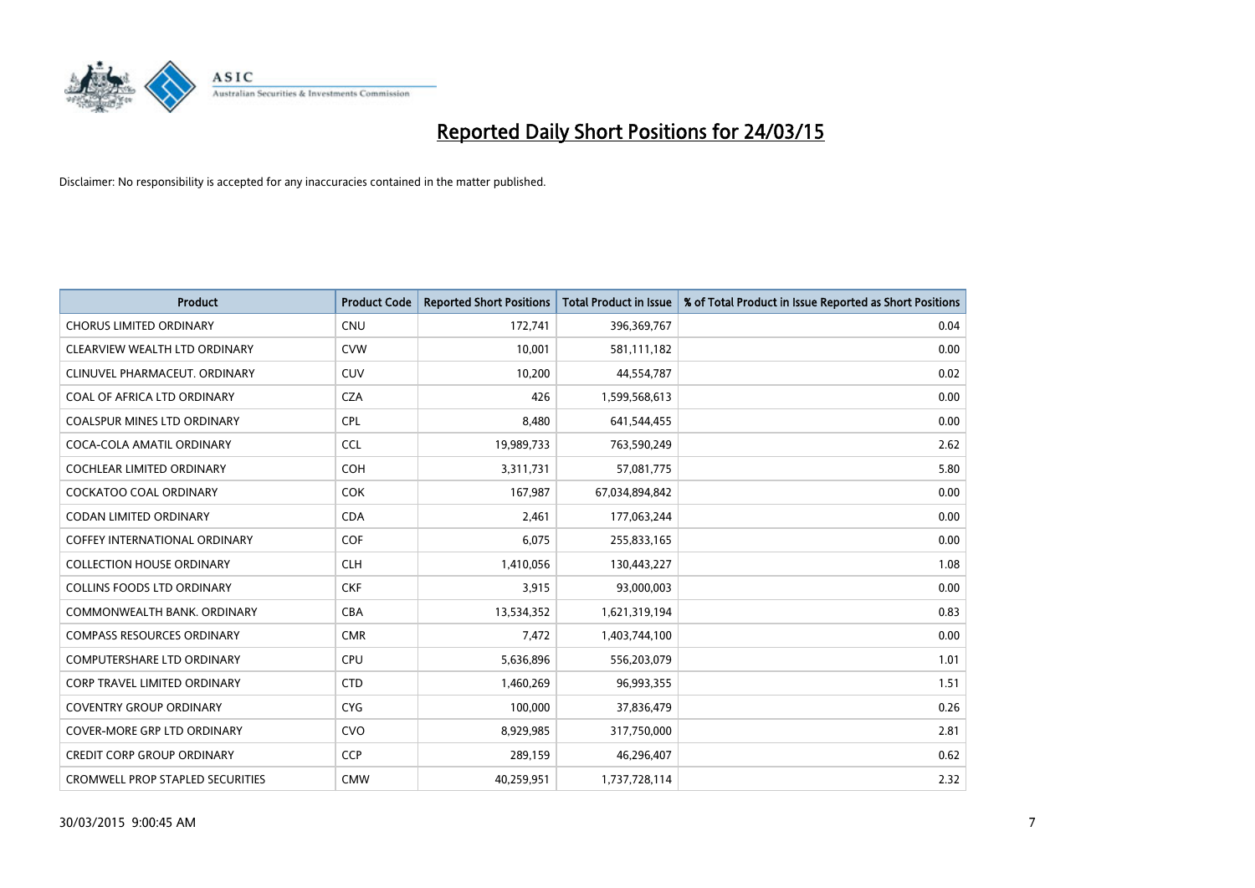

| <b>Product</b>                          | <b>Product Code</b> | <b>Reported Short Positions</b> | <b>Total Product in Issue</b> | % of Total Product in Issue Reported as Short Positions |
|-----------------------------------------|---------------------|---------------------------------|-------------------------------|---------------------------------------------------------|
| <b>CHORUS LIMITED ORDINARY</b>          | <b>CNU</b>          | 172,741                         | 396,369,767                   | 0.04                                                    |
| CLEARVIEW WEALTH LTD ORDINARY           | <b>CVW</b>          | 10,001                          | 581,111,182                   | 0.00                                                    |
| CLINUVEL PHARMACEUT, ORDINARY           | <b>CUV</b>          | 10,200                          | 44,554,787                    | 0.02                                                    |
| COAL OF AFRICA LTD ORDINARY             | <b>CZA</b>          | 426                             | 1,599,568,613                 | 0.00                                                    |
| <b>COALSPUR MINES LTD ORDINARY</b>      | <b>CPL</b>          | 8,480                           | 641,544,455                   | 0.00                                                    |
| COCA-COLA AMATIL ORDINARY               | <b>CCL</b>          | 19,989,733                      | 763,590,249                   | 2.62                                                    |
| <b>COCHLEAR LIMITED ORDINARY</b>        | <b>COH</b>          | 3,311,731                       | 57,081,775                    | 5.80                                                    |
| COCKATOO COAL ORDINARY                  | <b>COK</b>          | 167,987                         | 67,034,894,842                | 0.00                                                    |
| <b>CODAN LIMITED ORDINARY</b>           | <b>CDA</b>          | 2,461                           | 177,063,244                   | 0.00                                                    |
| <b>COFFEY INTERNATIONAL ORDINARY</b>    | <b>COF</b>          | 6,075                           | 255,833,165                   | 0.00                                                    |
| <b>COLLECTION HOUSE ORDINARY</b>        | <b>CLH</b>          | 1,410,056                       | 130,443,227                   | 1.08                                                    |
| <b>COLLINS FOODS LTD ORDINARY</b>       | <b>CKF</b>          | 3,915                           | 93,000,003                    | 0.00                                                    |
| COMMONWEALTH BANK, ORDINARY             | <b>CBA</b>          | 13,534,352                      | 1,621,319,194                 | 0.83                                                    |
| <b>COMPASS RESOURCES ORDINARY</b>       | <b>CMR</b>          | 7,472                           | 1,403,744,100                 | 0.00                                                    |
| <b>COMPUTERSHARE LTD ORDINARY</b>       | <b>CPU</b>          | 5,636,896                       | 556,203,079                   | 1.01                                                    |
| CORP TRAVEL LIMITED ORDINARY            | <b>CTD</b>          | 1,460,269                       | 96,993,355                    | 1.51                                                    |
| <b>COVENTRY GROUP ORDINARY</b>          | <b>CYG</b>          | 100,000                         | 37,836,479                    | 0.26                                                    |
| <b>COVER-MORE GRP LTD ORDINARY</b>      | <b>CVO</b>          | 8,929,985                       | 317,750,000                   | 2.81                                                    |
| <b>CREDIT CORP GROUP ORDINARY</b>       | <b>CCP</b>          | 289,159                         | 46,296,407                    | 0.62                                                    |
| <b>CROMWELL PROP STAPLED SECURITIES</b> | <b>CMW</b>          | 40,259,951                      | 1,737,728,114                 | 2.32                                                    |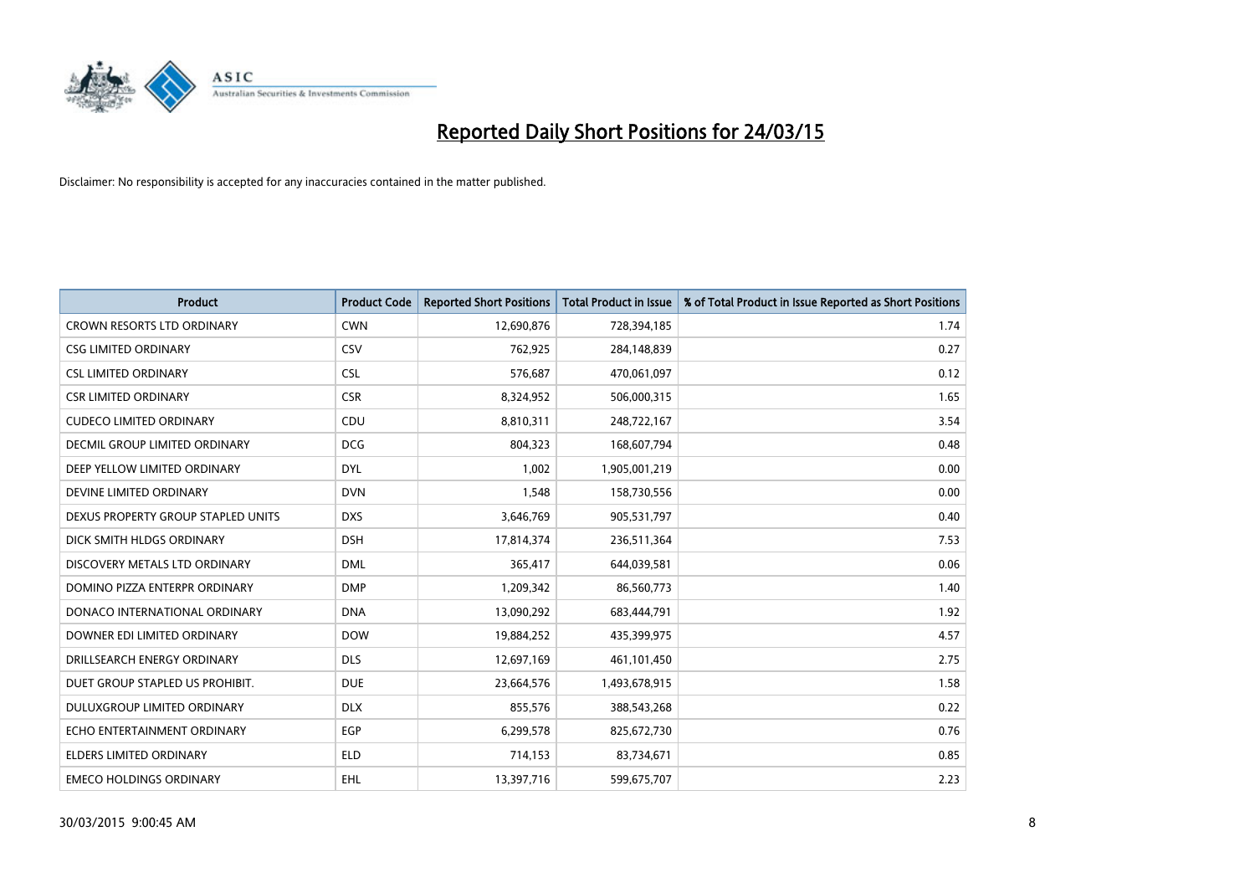

| <b>Product</b>                     | <b>Product Code</b> | <b>Reported Short Positions</b> | <b>Total Product in Issue</b> | % of Total Product in Issue Reported as Short Positions |
|------------------------------------|---------------------|---------------------------------|-------------------------------|---------------------------------------------------------|
| <b>CROWN RESORTS LTD ORDINARY</b>  | <b>CWN</b>          | 12,690,876                      | 728,394,185                   | 1.74                                                    |
| <b>CSG LIMITED ORDINARY</b>        | <b>CSV</b>          | 762,925                         | 284,148,839                   | 0.27                                                    |
| <b>CSL LIMITED ORDINARY</b>        | <b>CSL</b>          | 576,687                         | 470,061,097                   | 0.12                                                    |
| <b>CSR LIMITED ORDINARY</b>        | <b>CSR</b>          | 8,324,952                       | 506,000,315                   | 1.65                                                    |
| <b>CUDECO LIMITED ORDINARY</b>     | CDU                 | 8,810,311                       | 248,722,167                   | 3.54                                                    |
| DECMIL GROUP LIMITED ORDINARY      | <b>DCG</b>          | 804,323                         | 168,607,794                   | 0.48                                                    |
| DEEP YELLOW LIMITED ORDINARY       | <b>DYL</b>          | 1,002                           | 1,905,001,219                 | 0.00                                                    |
| DEVINE LIMITED ORDINARY            | <b>DVN</b>          | 1,548                           | 158,730,556                   | 0.00                                                    |
| DEXUS PROPERTY GROUP STAPLED UNITS | <b>DXS</b>          | 3,646,769                       | 905,531,797                   | 0.40                                                    |
| DICK SMITH HLDGS ORDINARY          | <b>DSH</b>          | 17,814,374                      | 236,511,364                   | 7.53                                                    |
| DISCOVERY METALS LTD ORDINARY      | <b>DML</b>          | 365,417                         | 644,039,581                   | 0.06                                                    |
| DOMINO PIZZA ENTERPR ORDINARY      | <b>DMP</b>          | 1,209,342                       | 86,560,773                    | 1.40                                                    |
| DONACO INTERNATIONAL ORDINARY      | <b>DNA</b>          | 13,090,292                      | 683,444,791                   | 1.92                                                    |
| DOWNER EDI LIMITED ORDINARY        | <b>DOW</b>          | 19,884,252                      | 435,399,975                   | 4.57                                                    |
| DRILLSEARCH ENERGY ORDINARY        | <b>DLS</b>          | 12,697,169                      | 461,101,450                   | 2.75                                                    |
| DUET GROUP STAPLED US PROHIBIT.    | <b>DUE</b>          | 23,664,576                      | 1,493,678,915                 | 1.58                                                    |
| DULUXGROUP LIMITED ORDINARY        | <b>DLX</b>          | 855,576                         | 388,543,268                   | 0.22                                                    |
| ECHO ENTERTAINMENT ORDINARY        | <b>EGP</b>          | 6,299,578                       | 825,672,730                   | 0.76                                                    |
| <b>ELDERS LIMITED ORDINARY</b>     | <b>ELD</b>          | 714,153                         | 83,734,671                    | 0.85                                                    |
| <b>EMECO HOLDINGS ORDINARY</b>     | <b>EHL</b>          | 13,397,716                      | 599,675,707                   | 2.23                                                    |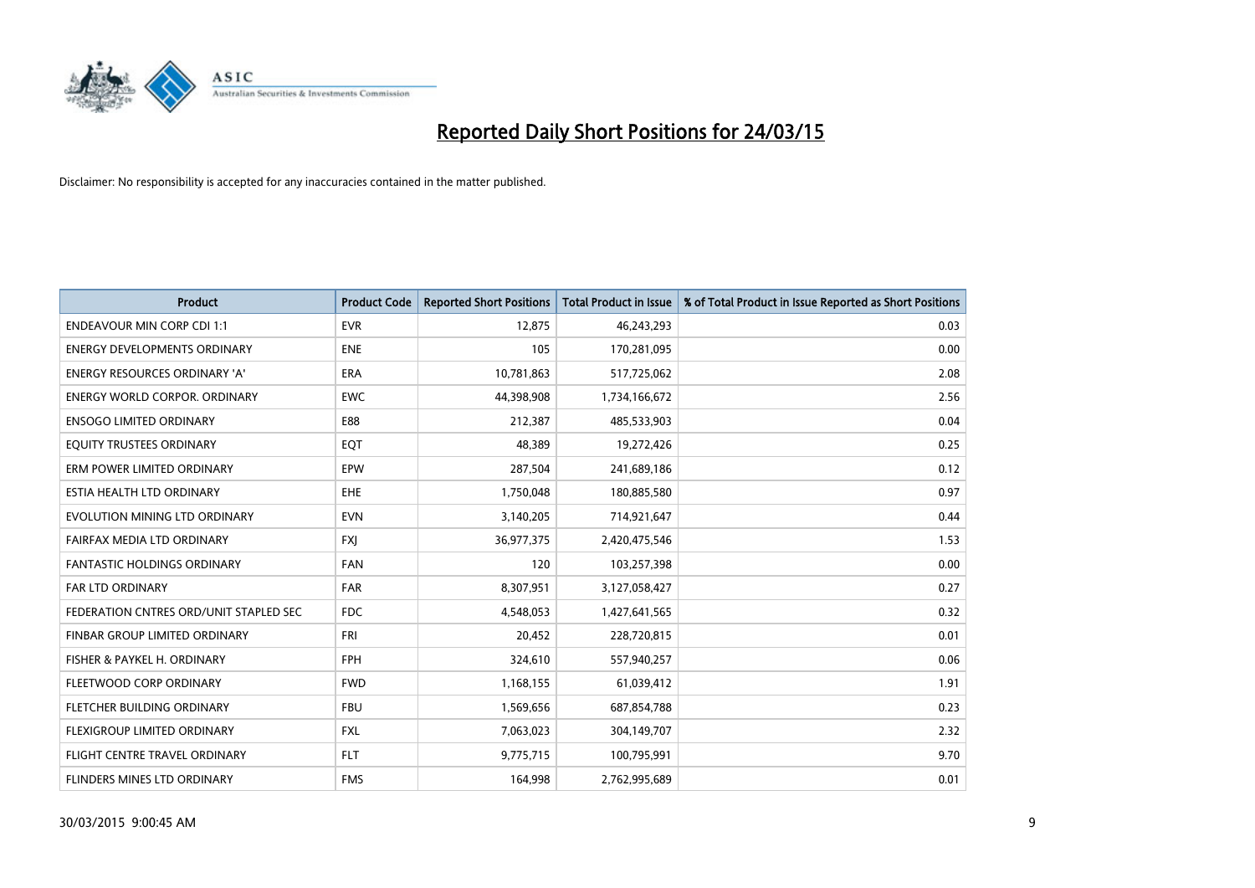

| <b>Product</b>                         | <b>Product Code</b> | <b>Reported Short Positions</b> | <b>Total Product in Issue</b> | % of Total Product in Issue Reported as Short Positions |
|----------------------------------------|---------------------|---------------------------------|-------------------------------|---------------------------------------------------------|
| <b>ENDEAVOUR MIN CORP CDI 1:1</b>      | <b>EVR</b>          | 12,875                          | 46,243,293                    | 0.03                                                    |
| <b>ENERGY DEVELOPMENTS ORDINARY</b>    | <b>ENE</b>          | 105                             | 170,281,095                   | 0.00                                                    |
| <b>ENERGY RESOURCES ORDINARY 'A'</b>   | <b>ERA</b>          | 10,781,863                      | 517,725,062                   | 2.08                                                    |
| ENERGY WORLD CORPOR. ORDINARY          | <b>EWC</b>          | 44,398,908                      | 1,734,166,672                 | 2.56                                                    |
| <b>ENSOGO LIMITED ORDINARY</b>         | E88                 | 212,387                         | 485,533,903                   | 0.04                                                    |
| EQUITY TRUSTEES ORDINARY               | EQT                 | 48,389                          | 19,272,426                    | 0.25                                                    |
| ERM POWER LIMITED ORDINARY             | <b>EPW</b>          | 287,504                         | 241,689,186                   | 0.12                                                    |
| ESTIA HEALTH LTD ORDINARY              | EHE                 | 1,750,048                       | 180,885,580                   | 0.97                                                    |
| EVOLUTION MINING LTD ORDINARY          | <b>EVN</b>          | 3,140,205                       | 714,921,647                   | 0.44                                                    |
| FAIRFAX MEDIA LTD ORDINARY             | <b>FXI</b>          | 36,977,375                      | 2,420,475,546                 | 1.53                                                    |
| FANTASTIC HOLDINGS ORDINARY            | <b>FAN</b>          | 120                             | 103,257,398                   | 0.00                                                    |
| <b>FAR LTD ORDINARY</b>                | FAR                 | 8,307,951                       | 3,127,058,427                 | 0.27                                                    |
| FEDERATION CNTRES ORD/UNIT STAPLED SEC | <b>FDC</b>          | 4,548,053                       | 1,427,641,565                 | 0.32                                                    |
| FINBAR GROUP LIMITED ORDINARY          | <b>FRI</b>          | 20,452                          | 228,720,815                   | 0.01                                                    |
| FISHER & PAYKEL H. ORDINARY            | <b>FPH</b>          | 324,610                         | 557,940,257                   | 0.06                                                    |
| FLEETWOOD CORP ORDINARY                | <b>FWD</b>          | 1,168,155                       | 61,039,412                    | 1.91                                                    |
| FLETCHER BUILDING ORDINARY             | <b>FBU</b>          | 1,569,656                       | 687,854,788                   | 0.23                                                    |
| FLEXIGROUP LIMITED ORDINARY            | <b>FXL</b>          | 7,063,023                       | 304,149,707                   | 2.32                                                    |
| FLIGHT CENTRE TRAVEL ORDINARY          | <b>FLT</b>          | 9,775,715                       | 100,795,991                   | 9.70                                                    |
| FLINDERS MINES LTD ORDINARY            | <b>FMS</b>          | 164,998                         | 2,762,995,689                 | 0.01                                                    |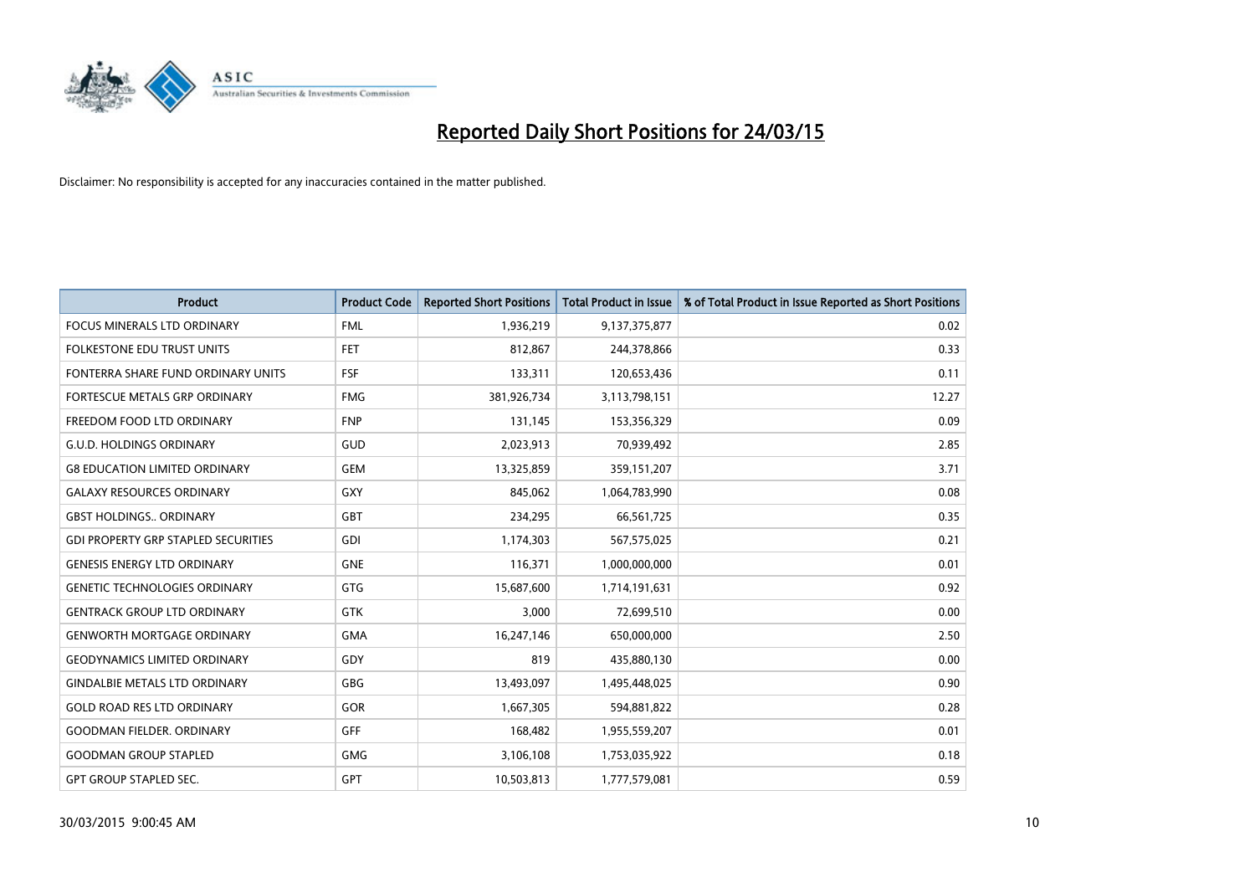

| <b>Product</b>                             | <b>Product Code</b> | <b>Reported Short Positions</b> | <b>Total Product in Issue</b> | % of Total Product in Issue Reported as Short Positions |
|--------------------------------------------|---------------------|---------------------------------|-------------------------------|---------------------------------------------------------|
| <b>FOCUS MINERALS LTD ORDINARY</b>         | <b>FML</b>          | 1,936,219                       | 9,137,375,877                 | 0.02                                                    |
| FOLKESTONE EDU TRUST UNITS                 | <b>FET</b>          | 812,867                         | 244,378,866                   | 0.33                                                    |
| FONTERRA SHARE FUND ORDINARY UNITS         | <b>FSF</b>          | 133,311                         | 120,653,436                   | 0.11                                                    |
| FORTESCUE METALS GRP ORDINARY              | <b>FMG</b>          | 381,926,734                     | 3,113,798,151                 | 12.27                                                   |
| FREEDOM FOOD LTD ORDINARY                  | <b>FNP</b>          | 131,145                         | 153,356,329                   | 0.09                                                    |
| <b>G.U.D. HOLDINGS ORDINARY</b>            | GUD                 | 2,023,913                       | 70,939,492                    | 2.85                                                    |
| <b>G8 EDUCATION LIMITED ORDINARY</b>       | <b>GEM</b>          | 13,325,859                      | 359,151,207                   | 3.71                                                    |
| <b>GALAXY RESOURCES ORDINARY</b>           | <b>GXY</b>          | 845,062                         | 1,064,783,990                 | 0.08                                                    |
| <b>GBST HOLDINGS., ORDINARY</b>            | <b>GBT</b>          | 234,295                         | 66,561,725                    | 0.35                                                    |
| <b>GDI PROPERTY GRP STAPLED SECURITIES</b> | GDI                 | 1,174,303                       | 567,575,025                   | 0.21                                                    |
| <b>GENESIS ENERGY LTD ORDINARY</b>         | <b>GNE</b>          | 116,371                         | 1,000,000,000                 | 0.01                                                    |
| <b>GENETIC TECHNOLOGIES ORDINARY</b>       | <b>GTG</b>          | 15,687,600                      | 1,714,191,631                 | 0.92                                                    |
| <b>GENTRACK GROUP LTD ORDINARY</b>         | <b>GTK</b>          | 3,000                           | 72,699,510                    | 0.00                                                    |
| <b>GENWORTH MORTGAGE ORDINARY</b>          | <b>GMA</b>          | 16,247,146                      | 650,000,000                   | 2.50                                                    |
| <b>GEODYNAMICS LIMITED ORDINARY</b>        | GDY                 | 819                             | 435,880,130                   | 0.00                                                    |
| <b>GINDALBIE METALS LTD ORDINARY</b>       | GBG                 | 13,493,097                      | 1,495,448,025                 | 0.90                                                    |
| <b>GOLD ROAD RES LTD ORDINARY</b>          | GOR                 | 1,667,305                       | 594,881,822                   | 0.28                                                    |
| <b>GOODMAN FIELDER, ORDINARY</b>           | GFF                 | 168,482                         | 1,955,559,207                 | 0.01                                                    |
| <b>GOODMAN GROUP STAPLED</b>               | <b>GMG</b>          | 3,106,108                       | 1,753,035,922                 | 0.18                                                    |
| <b>GPT GROUP STAPLED SEC.</b>              | GPT                 | 10,503,813                      | 1,777,579,081                 | 0.59                                                    |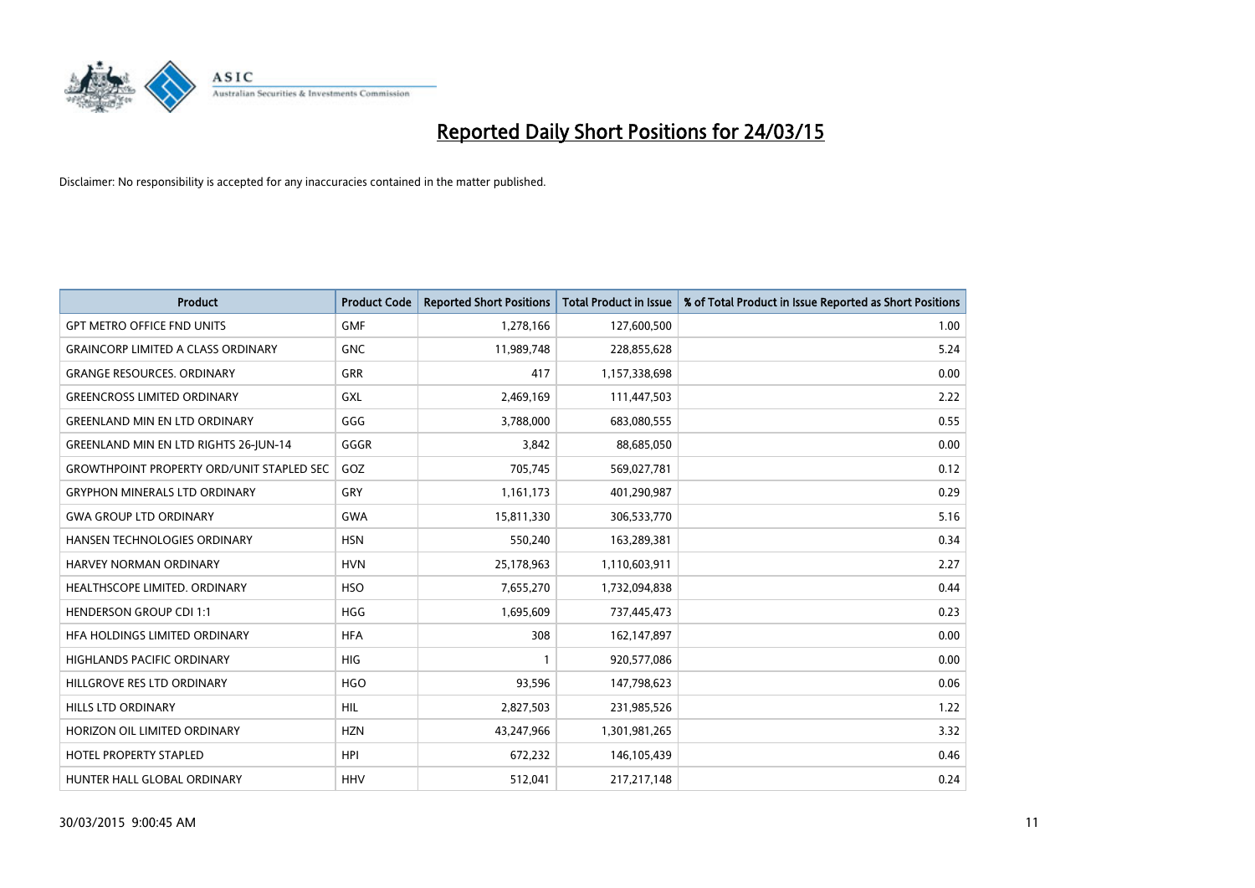

| <b>Product</b>                                   | <b>Product Code</b> | <b>Reported Short Positions</b> | <b>Total Product in Issue</b> | % of Total Product in Issue Reported as Short Positions |
|--------------------------------------------------|---------------------|---------------------------------|-------------------------------|---------------------------------------------------------|
| <b>GPT METRO OFFICE FND UNITS</b>                | <b>GMF</b>          | 1,278,166                       | 127,600,500                   | 1.00                                                    |
| <b>GRAINCORP LIMITED A CLASS ORDINARY</b>        | <b>GNC</b>          | 11,989,748                      | 228,855,628                   | 5.24                                                    |
| <b>GRANGE RESOURCES. ORDINARY</b>                | <b>GRR</b>          | 417                             | 1,157,338,698                 | 0.00                                                    |
| <b>GREENCROSS LIMITED ORDINARY</b>               | <b>GXL</b>          | 2,469,169                       | 111,447,503                   | 2.22                                                    |
| <b>GREENLAND MIN EN LTD ORDINARY</b>             | GGG                 | 3,788,000                       | 683,080,555                   | 0.55                                                    |
| <b>GREENLAND MIN EN LTD RIGHTS 26-JUN-14</b>     | GGGR                | 3,842                           | 88,685,050                    | 0.00                                                    |
| <b>GROWTHPOINT PROPERTY ORD/UNIT STAPLED SEC</b> | GOZ                 | 705,745                         | 569,027,781                   | 0.12                                                    |
| <b>GRYPHON MINERALS LTD ORDINARY</b>             | GRY                 | 1,161,173                       | 401,290,987                   | 0.29                                                    |
| <b>GWA GROUP LTD ORDINARY</b>                    | <b>GWA</b>          | 15,811,330                      | 306,533,770                   | 5.16                                                    |
| HANSEN TECHNOLOGIES ORDINARY                     | <b>HSN</b>          | 550,240                         | 163,289,381                   | 0.34                                                    |
| <b>HARVEY NORMAN ORDINARY</b>                    | <b>HVN</b>          | 25,178,963                      | 1,110,603,911                 | 2.27                                                    |
| HEALTHSCOPE LIMITED. ORDINARY                    | <b>HSO</b>          | 7,655,270                       | 1,732,094,838                 | 0.44                                                    |
| <b>HENDERSON GROUP CDI 1:1</b>                   | <b>HGG</b>          | 1,695,609                       | 737,445,473                   | 0.23                                                    |
| HFA HOLDINGS LIMITED ORDINARY                    | <b>HFA</b>          | 308                             | 162,147,897                   | 0.00                                                    |
| <b>HIGHLANDS PACIFIC ORDINARY</b>                | <b>HIG</b>          | 1                               | 920,577,086                   | 0.00                                                    |
| HILLGROVE RES LTD ORDINARY                       | <b>HGO</b>          | 93,596                          | 147,798,623                   | 0.06                                                    |
| HILLS LTD ORDINARY                               | HIL                 | 2,827,503                       | 231,985,526                   | 1.22                                                    |
| HORIZON OIL LIMITED ORDINARY                     | <b>HZN</b>          | 43,247,966                      | 1,301,981,265                 | 3.32                                                    |
| <b>HOTEL PROPERTY STAPLED</b>                    | <b>HPI</b>          | 672,232                         | 146,105,439                   | 0.46                                                    |
| HUNTER HALL GLOBAL ORDINARY                      | <b>HHV</b>          | 512,041                         | 217,217,148                   | 0.24                                                    |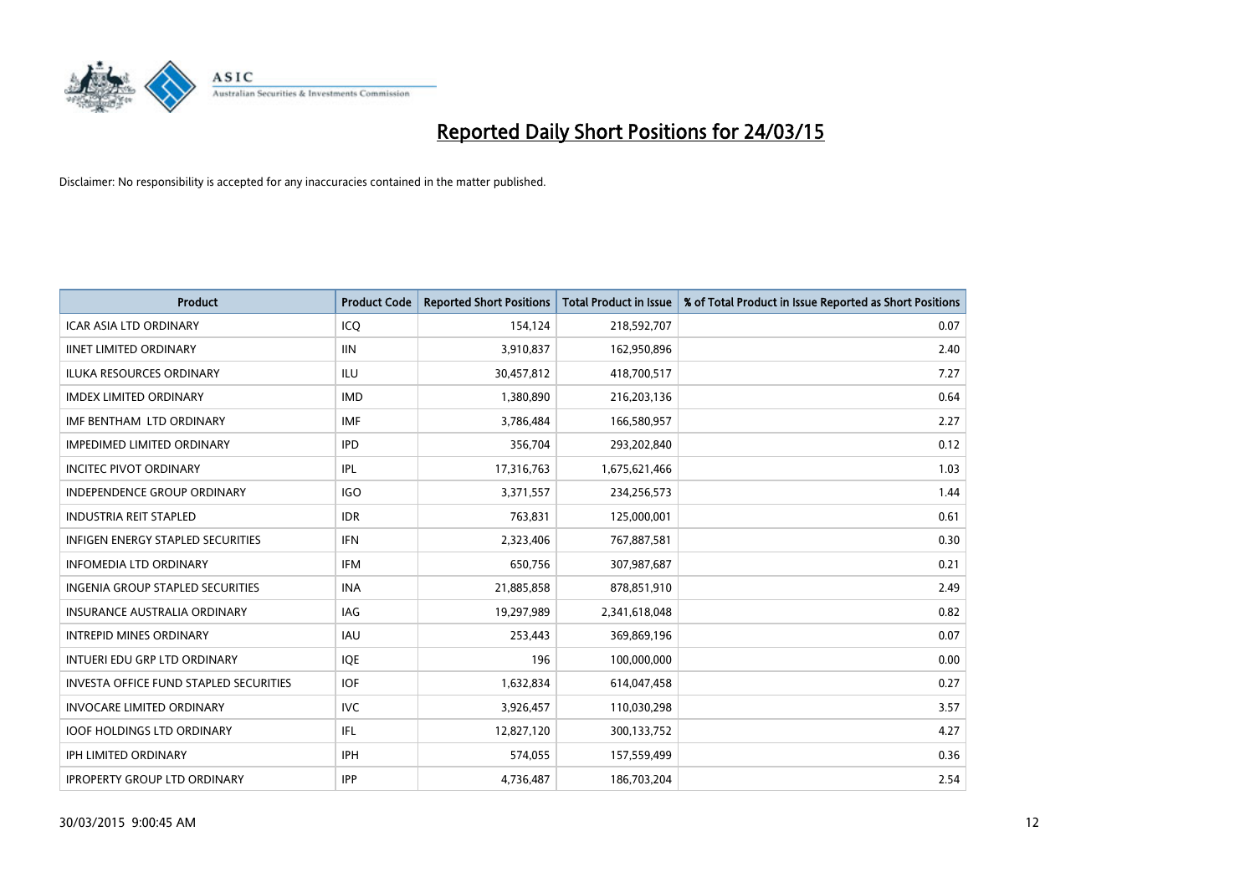

| <b>Product</b>                                | <b>Product Code</b> | <b>Reported Short Positions</b> | <b>Total Product in Issue</b> | % of Total Product in Issue Reported as Short Positions |
|-----------------------------------------------|---------------------|---------------------------------|-------------------------------|---------------------------------------------------------|
| <b>ICAR ASIA LTD ORDINARY</b>                 | ICQ                 | 154,124                         | 218,592,707                   | 0.07                                                    |
| <b>IINET LIMITED ORDINARY</b>                 | <b>IIN</b>          | 3,910,837                       | 162,950,896                   | 2.40                                                    |
| <b>ILUKA RESOURCES ORDINARY</b>               | ILU                 | 30,457,812                      | 418,700,517                   | 7.27                                                    |
| <b>IMDEX LIMITED ORDINARY</b>                 | <b>IMD</b>          | 1,380,890                       | 216,203,136                   | 0.64                                                    |
| IMF BENTHAM LTD ORDINARY                      | <b>IMF</b>          | 3,786,484                       | 166,580,957                   | 2.27                                                    |
| <b>IMPEDIMED LIMITED ORDINARY</b>             | <b>IPD</b>          | 356,704                         | 293,202,840                   | 0.12                                                    |
| <b>INCITEC PIVOT ORDINARY</b>                 | IPL                 | 17,316,763                      | 1,675,621,466                 | 1.03                                                    |
| <b>INDEPENDENCE GROUP ORDINARY</b>            | <b>IGO</b>          | 3,371,557                       | 234,256,573                   | 1.44                                                    |
| <b>INDUSTRIA REIT STAPLED</b>                 | <b>IDR</b>          | 763,831                         | 125,000,001                   | 0.61                                                    |
| <b>INFIGEN ENERGY STAPLED SECURITIES</b>      | IFN                 | 2,323,406                       | 767,887,581                   | 0.30                                                    |
| <b>INFOMEDIA LTD ORDINARY</b>                 | IFM                 | 650,756                         | 307,987,687                   | 0.21                                                    |
| <b>INGENIA GROUP STAPLED SECURITIES</b>       | <b>INA</b>          | 21,885,858                      | 878,851,910                   | 2.49                                                    |
| <b>INSURANCE AUSTRALIA ORDINARY</b>           | IAG                 | 19,297,989                      | 2,341,618,048                 | 0.82                                                    |
| <b>INTREPID MINES ORDINARY</b>                | <b>IAU</b>          | 253,443                         | 369,869,196                   | 0.07                                                    |
| INTUERI EDU GRP LTD ORDINARY                  | IQE                 | 196                             | 100,000,000                   | 0.00                                                    |
| <b>INVESTA OFFICE FUND STAPLED SECURITIES</b> | <b>IOF</b>          | 1,632,834                       | 614,047,458                   | 0.27                                                    |
| <b>INVOCARE LIMITED ORDINARY</b>              | <b>IVC</b>          | 3,926,457                       | 110,030,298                   | 3.57                                                    |
| <b>IOOF HOLDINGS LTD ORDINARY</b>             | IFL                 | 12,827,120                      | 300,133,752                   | 4.27                                                    |
| <b>IPH LIMITED ORDINARY</b>                   | <b>IPH</b>          | 574,055                         | 157,559,499                   | 0.36                                                    |
| <b>IPROPERTY GROUP LTD ORDINARY</b>           | IPP                 | 4,736,487                       | 186,703,204                   | 2.54                                                    |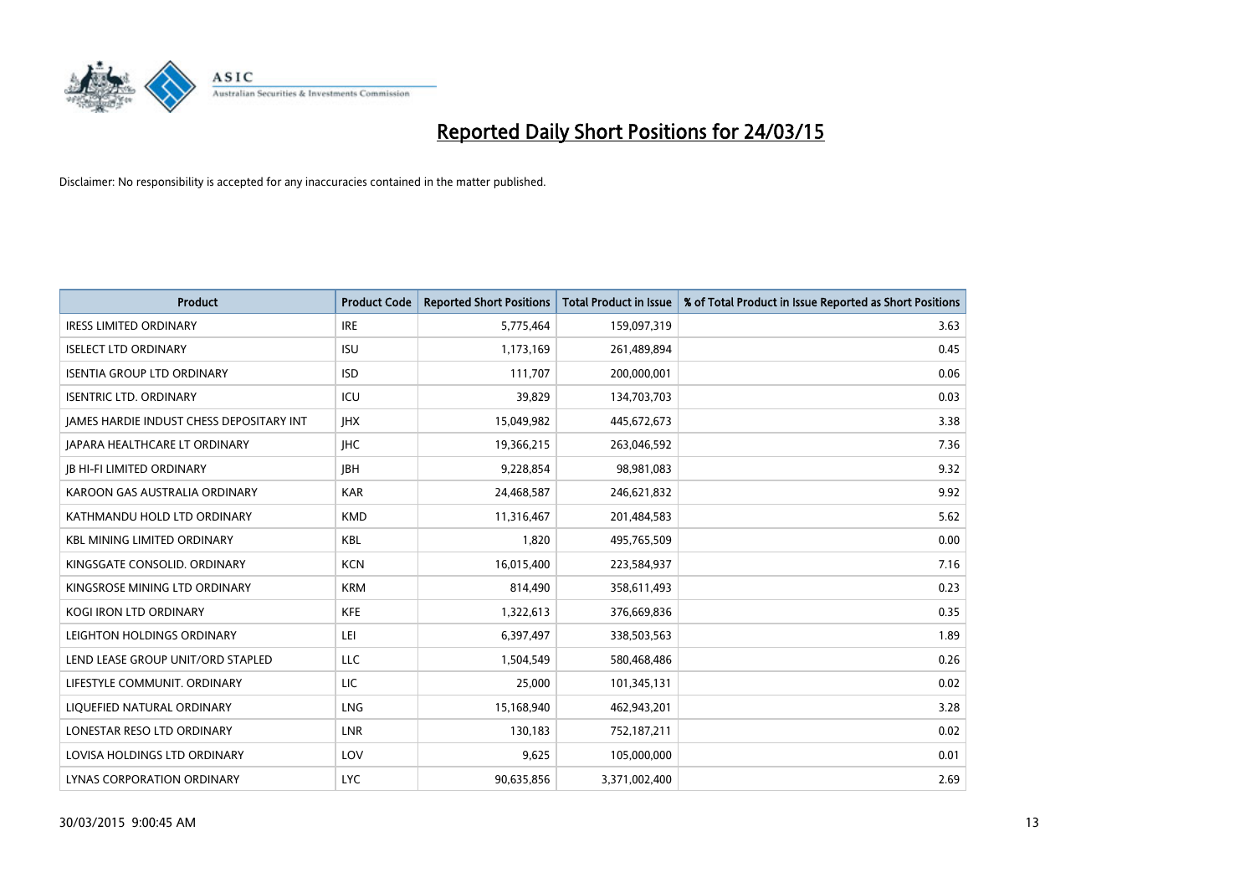

| <b>Product</b>                           | <b>Product Code</b> | <b>Reported Short Positions</b> | <b>Total Product in Issue</b> | % of Total Product in Issue Reported as Short Positions |
|------------------------------------------|---------------------|---------------------------------|-------------------------------|---------------------------------------------------------|
| <b>IRESS LIMITED ORDINARY</b>            | <b>IRE</b>          | 5,775,464                       | 159,097,319                   | 3.63                                                    |
| <b>ISELECT LTD ORDINARY</b>              | <b>ISU</b>          | 1,173,169                       | 261,489,894                   | 0.45                                                    |
| <b>ISENTIA GROUP LTD ORDINARY</b>        | <b>ISD</b>          | 111,707                         | 200,000,001                   | 0.06                                                    |
| <b>ISENTRIC LTD. ORDINARY</b>            | ICU                 | 39,829                          | 134,703,703                   | 0.03                                                    |
| JAMES HARDIE INDUST CHESS DEPOSITARY INT | <b>IHX</b>          | 15,049,982                      | 445,672,673                   | 3.38                                                    |
| <b>JAPARA HEALTHCARE LT ORDINARY</b>     | <b>IHC</b>          | 19,366,215                      | 263,046,592                   | 7.36                                                    |
| <b>JB HI-FI LIMITED ORDINARY</b>         | <b>IBH</b>          | 9,228,854                       | 98,981,083                    | 9.32                                                    |
| KAROON GAS AUSTRALIA ORDINARY            | <b>KAR</b>          | 24,468,587                      | 246,621,832                   | 9.92                                                    |
| KATHMANDU HOLD LTD ORDINARY              | <b>KMD</b>          | 11,316,467                      | 201,484,583                   | 5.62                                                    |
| <b>KBL MINING LIMITED ORDINARY</b>       | <b>KBL</b>          | 1,820                           | 495,765,509                   | 0.00                                                    |
| KINGSGATE CONSOLID. ORDINARY             | <b>KCN</b>          | 16,015,400                      | 223,584,937                   | 7.16                                                    |
| KINGSROSE MINING LTD ORDINARY            | <b>KRM</b>          | 814,490                         | 358,611,493                   | 0.23                                                    |
| KOGI IRON LTD ORDINARY                   | KFE                 | 1,322,613                       | 376,669,836                   | 0.35                                                    |
| LEIGHTON HOLDINGS ORDINARY               | LEI                 | 6,397,497                       | 338,503,563                   | 1.89                                                    |
| LEND LEASE GROUP UNIT/ORD STAPLED        | <b>LLC</b>          | 1,504,549                       | 580,468,486                   | 0.26                                                    |
| LIFESTYLE COMMUNIT. ORDINARY             | LIC                 | 25,000                          | 101,345,131                   | 0.02                                                    |
| LIQUEFIED NATURAL ORDINARY               | LNG                 | 15,168,940                      | 462,943,201                   | 3.28                                                    |
| LONESTAR RESO LTD ORDINARY               | <b>LNR</b>          | 130,183                         | 752,187,211                   | 0.02                                                    |
| LOVISA HOLDINGS LTD ORDINARY             | LOV                 | 9,625                           | 105,000,000                   | 0.01                                                    |
| LYNAS CORPORATION ORDINARY               | <b>LYC</b>          | 90,635,856                      | 3,371,002,400                 | 2.69                                                    |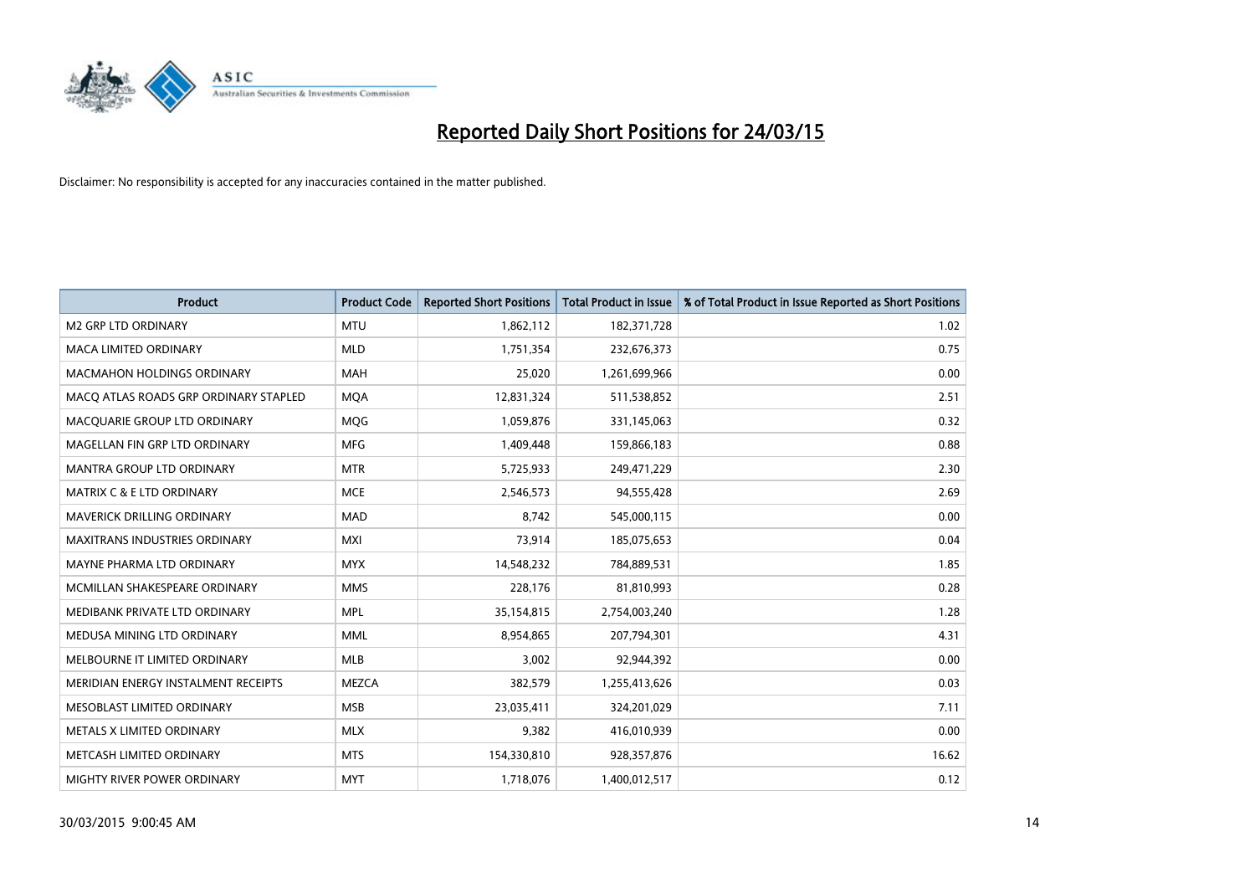

| <b>Product</b>                        | <b>Product Code</b> | <b>Reported Short Positions</b> | <b>Total Product in Issue</b> | % of Total Product in Issue Reported as Short Positions |
|---------------------------------------|---------------------|---------------------------------|-------------------------------|---------------------------------------------------------|
| <b>M2 GRP LTD ORDINARY</b>            | <b>MTU</b>          | 1,862,112                       | 182,371,728                   | 1.02                                                    |
| MACA LIMITED ORDINARY                 | <b>MLD</b>          | 1,751,354                       | 232,676,373                   | 0.75                                                    |
| MACMAHON HOLDINGS ORDINARY            | MAH                 | 25,020                          | 1,261,699,966                 | 0.00                                                    |
| MACO ATLAS ROADS GRP ORDINARY STAPLED | <b>MOA</b>          | 12,831,324                      | 511,538,852                   | 2.51                                                    |
| MACQUARIE GROUP LTD ORDINARY          | <b>MOG</b>          | 1,059,876                       | 331,145,063                   | 0.32                                                    |
| MAGELLAN FIN GRP LTD ORDINARY         | <b>MFG</b>          | 1,409,448                       | 159,866,183                   | 0.88                                                    |
| MANTRA GROUP LTD ORDINARY             | <b>MTR</b>          | 5,725,933                       | 249,471,229                   | 2.30                                                    |
| <b>MATRIX C &amp; E LTD ORDINARY</b>  | <b>MCE</b>          | 2,546,573                       | 94,555,428                    | 2.69                                                    |
| MAVERICK DRILLING ORDINARY            | <b>MAD</b>          | 8,742                           | 545,000,115                   | 0.00                                                    |
| <b>MAXITRANS INDUSTRIES ORDINARY</b>  | <b>MXI</b>          | 73,914                          | 185,075,653                   | 0.04                                                    |
| MAYNE PHARMA LTD ORDINARY             | <b>MYX</b>          | 14,548,232                      | 784,889,531                   | 1.85                                                    |
| MCMILLAN SHAKESPEARE ORDINARY         | <b>MMS</b>          | 228,176                         | 81,810,993                    | 0.28                                                    |
| MEDIBANK PRIVATE LTD ORDINARY         | <b>MPL</b>          | 35,154,815                      | 2,754,003,240                 | 1.28                                                    |
| MEDUSA MINING LTD ORDINARY            | <b>MML</b>          | 8,954,865                       | 207,794,301                   | 4.31                                                    |
| MELBOURNE IT LIMITED ORDINARY         | <b>MLB</b>          | 3,002                           | 92,944,392                    | 0.00                                                    |
| MERIDIAN ENERGY INSTALMENT RECEIPTS   | <b>MEZCA</b>        | 382,579                         | 1,255,413,626                 | 0.03                                                    |
| MESOBLAST LIMITED ORDINARY            | <b>MSB</b>          | 23,035,411                      | 324,201,029                   | 7.11                                                    |
| METALS X LIMITED ORDINARY             | <b>MLX</b>          | 9,382                           | 416,010,939                   | 0.00                                                    |
| METCASH LIMITED ORDINARY              | <b>MTS</b>          | 154,330,810                     | 928,357,876                   | 16.62                                                   |
| MIGHTY RIVER POWER ORDINARY           | <b>MYT</b>          | 1,718,076                       | 1,400,012,517                 | 0.12                                                    |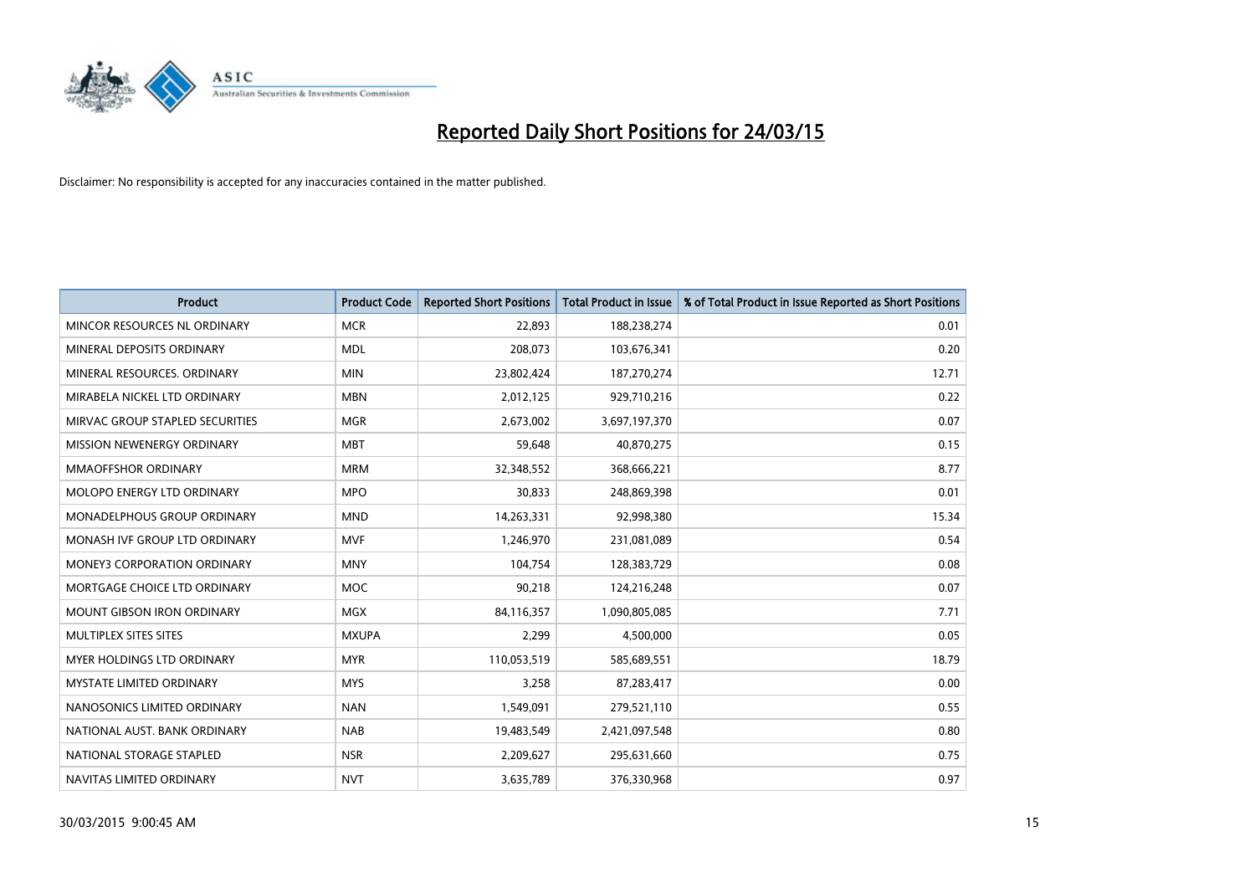

| <b>Product</b>                     | <b>Product Code</b> | <b>Reported Short Positions</b> | <b>Total Product in Issue</b> | % of Total Product in Issue Reported as Short Positions |
|------------------------------------|---------------------|---------------------------------|-------------------------------|---------------------------------------------------------|
| MINCOR RESOURCES NL ORDINARY       | <b>MCR</b>          | 22,893                          | 188,238,274                   | 0.01                                                    |
| MINERAL DEPOSITS ORDINARY          | <b>MDL</b>          | 208,073                         | 103,676,341                   | 0.20                                                    |
| MINERAL RESOURCES. ORDINARY        | <b>MIN</b>          | 23,802,424                      | 187,270,274                   | 12.71                                                   |
| MIRABELA NICKEL LTD ORDINARY       | <b>MBN</b>          | 2,012,125                       | 929,710,216                   | 0.22                                                    |
| MIRVAC GROUP STAPLED SECURITIES    | <b>MGR</b>          | 2,673,002                       | 3,697,197,370                 | 0.07                                                    |
| MISSION NEWENERGY ORDINARY         | <b>MBT</b>          | 59,648                          | 40,870,275                    | 0.15                                                    |
| MMAOFFSHOR ORDINARY                | <b>MRM</b>          | 32,348,552                      | 368,666,221                   | 8.77                                                    |
| MOLOPO ENERGY LTD ORDINARY         | <b>MPO</b>          | 30,833                          | 248,869,398                   | 0.01                                                    |
| <b>MONADELPHOUS GROUP ORDINARY</b> | <b>MND</b>          | 14,263,331                      | 92,998,380                    | 15.34                                                   |
| MONASH IVF GROUP LTD ORDINARY      | MVF                 | 1,246,970                       | 231,081,089                   | 0.54                                                    |
| MONEY3 CORPORATION ORDINARY        | <b>MNY</b>          | 104,754                         | 128,383,729                   | 0.08                                                    |
| MORTGAGE CHOICE LTD ORDINARY       | <b>MOC</b>          | 90,218                          | 124,216,248                   | 0.07                                                    |
| MOUNT GIBSON IRON ORDINARY         | <b>MGX</b>          | 84,116,357                      | 1,090,805,085                 | 7.71                                                    |
| MULTIPLEX SITES SITES              | <b>MXUPA</b>        | 2,299                           | 4,500,000                     | 0.05                                                    |
| <b>MYER HOLDINGS LTD ORDINARY</b>  | <b>MYR</b>          | 110,053,519                     | 585,689,551                   | 18.79                                                   |
| <b>MYSTATE LIMITED ORDINARY</b>    | <b>MYS</b>          | 3,258                           | 87,283,417                    | 0.00                                                    |
| NANOSONICS LIMITED ORDINARY        | <b>NAN</b>          | 1,549,091                       | 279,521,110                   | 0.55                                                    |
| NATIONAL AUST, BANK ORDINARY       | <b>NAB</b>          | 19,483,549                      | 2,421,097,548                 | 0.80                                                    |
| NATIONAL STORAGE STAPLED           | <b>NSR</b>          | 2,209,627                       | 295,631,660                   | 0.75                                                    |
| NAVITAS LIMITED ORDINARY           | <b>NVT</b>          | 3,635,789                       | 376,330,968                   | 0.97                                                    |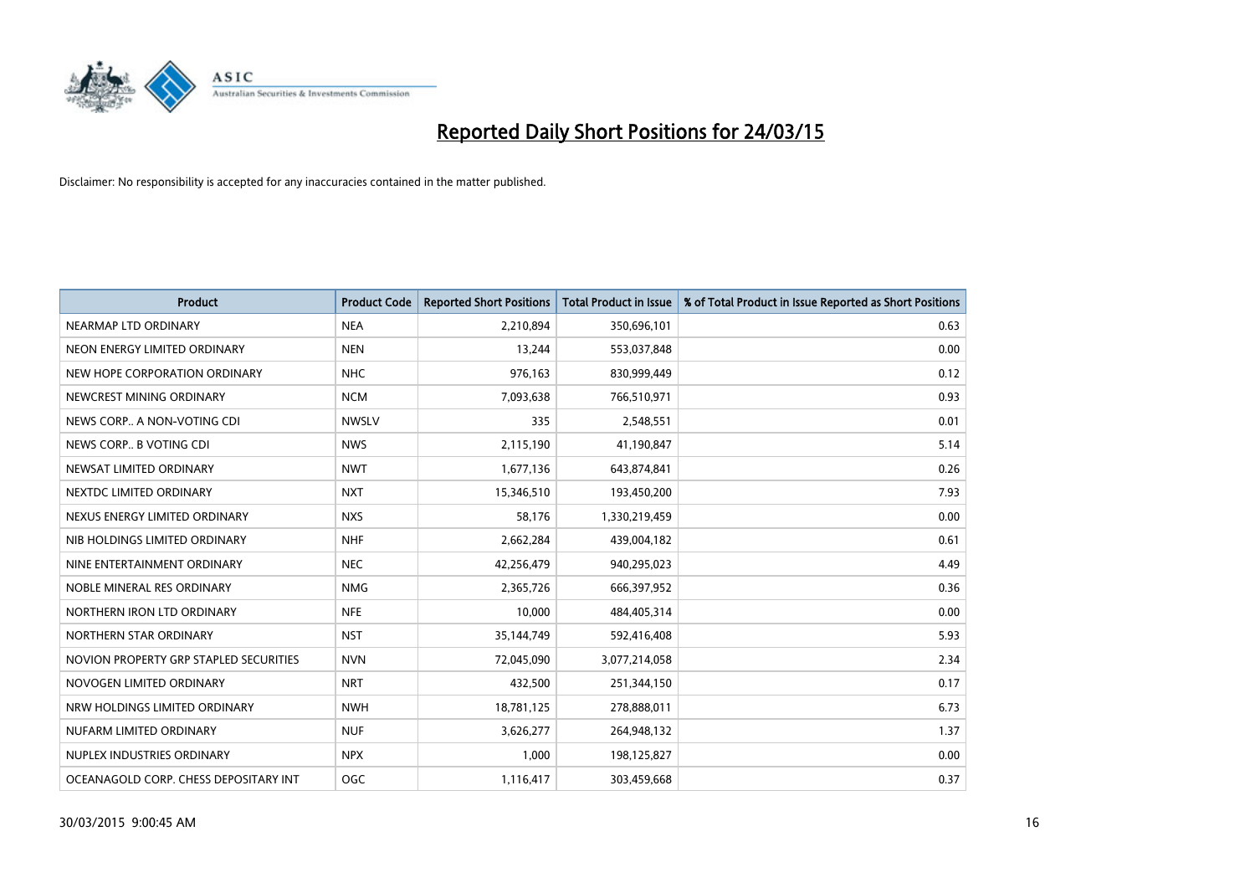

| <b>Product</b>                         | <b>Product Code</b> | <b>Reported Short Positions</b> | <b>Total Product in Issue</b> | % of Total Product in Issue Reported as Short Positions |
|----------------------------------------|---------------------|---------------------------------|-------------------------------|---------------------------------------------------------|
| NEARMAP LTD ORDINARY                   | <b>NEA</b>          | 2,210,894                       | 350,696,101                   | 0.63                                                    |
| NEON ENERGY LIMITED ORDINARY           | <b>NEN</b>          | 13,244                          | 553,037,848                   | 0.00                                                    |
| NEW HOPE CORPORATION ORDINARY          | <b>NHC</b>          | 976,163                         | 830,999,449                   | 0.12                                                    |
| NEWCREST MINING ORDINARY               | <b>NCM</b>          | 7,093,638                       | 766,510,971                   | 0.93                                                    |
| NEWS CORP A NON-VOTING CDI             | <b>NWSLV</b>        | 335                             | 2,548,551                     | 0.01                                                    |
| NEWS CORP B VOTING CDI                 | <b>NWS</b>          | 2,115,190                       | 41,190,847                    | 5.14                                                    |
| NEWSAT LIMITED ORDINARY                | <b>NWT</b>          | 1,677,136                       | 643,874,841                   | 0.26                                                    |
| NEXTDC LIMITED ORDINARY                | <b>NXT</b>          | 15,346,510                      | 193,450,200                   | 7.93                                                    |
| NEXUS ENERGY LIMITED ORDINARY          | <b>NXS</b>          | 58,176                          | 1,330,219,459                 | 0.00                                                    |
| NIB HOLDINGS LIMITED ORDINARY          | <b>NHF</b>          | 2,662,284                       | 439,004,182                   | 0.61                                                    |
| NINE ENTERTAINMENT ORDINARY            | <b>NEC</b>          | 42,256,479                      | 940,295,023                   | 4.49                                                    |
| NOBLE MINERAL RES ORDINARY             | <b>NMG</b>          | 2,365,726                       | 666,397,952                   | 0.36                                                    |
| NORTHERN IRON LTD ORDINARY             | <b>NFE</b>          | 10,000                          | 484,405,314                   | 0.00                                                    |
| NORTHERN STAR ORDINARY                 | <b>NST</b>          | 35,144,749                      | 592,416,408                   | 5.93                                                    |
| NOVION PROPERTY GRP STAPLED SECURITIES | <b>NVN</b>          | 72,045,090                      | 3,077,214,058                 | 2.34                                                    |
| NOVOGEN LIMITED ORDINARY               | <b>NRT</b>          | 432,500                         | 251,344,150                   | 0.17                                                    |
| NRW HOLDINGS LIMITED ORDINARY          | <b>NWH</b>          | 18,781,125                      | 278,888,011                   | 6.73                                                    |
| NUFARM LIMITED ORDINARY                | <b>NUF</b>          | 3,626,277                       | 264,948,132                   | 1.37                                                    |
| NUPLEX INDUSTRIES ORDINARY             | <b>NPX</b>          | 1,000                           | 198,125,827                   | 0.00                                                    |
| OCEANAGOLD CORP. CHESS DEPOSITARY INT  | OGC                 | 1,116,417                       | 303,459,668                   | 0.37                                                    |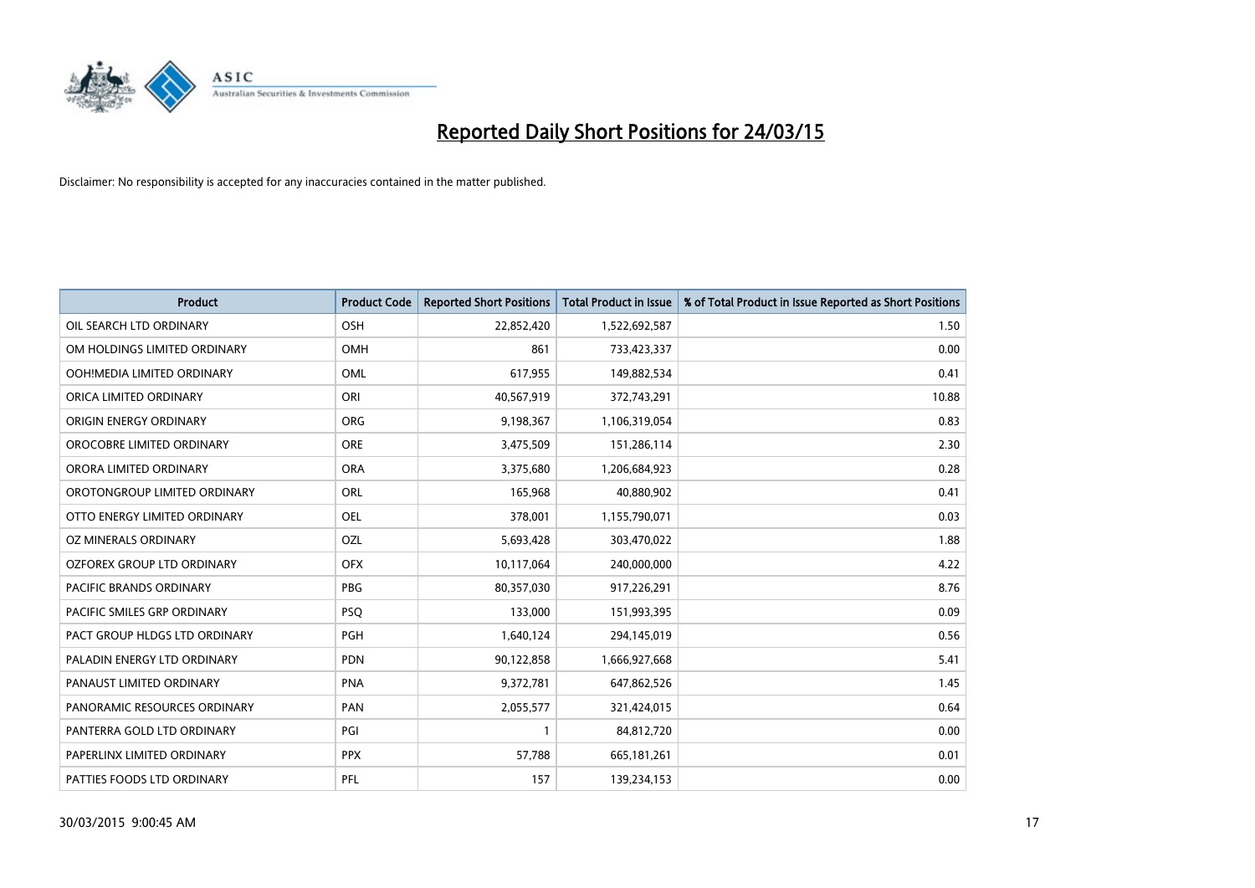

| <b>Product</b>                | <b>Product Code</b> | <b>Reported Short Positions</b> | <b>Total Product in Issue</b> | % of Total Product in Issue Reported as Short Positions |
|-------------------------------|---------------------|---------------------------------|-------------------------------|---------------------------------------------------------|
| OIL SEARCH LTD ORDINARY       | OSH                 | 22,852,420                      | 1,522,692,587                 | 1.50                                                    |
| OM HOLDINGS LIMITED ORDINARY  | OMH                 | 861                             | 733,423,337                   | 0.00                                                    |
| OOH!MEDIA LIMITED ORDINARY    | <b>OML</b>          | 617,955                         | 149,882,534                   | 0.41                                                    |
| ORICA LIMITED ORDINARY        | ORI                 | 40,567,919                      | 372,743,291                   | 10.88                                                   |
| ORIGIN ENERGY ORDINARY        | <b>ORG</b>          | 9,198,367                       | 1,106,319,054                 | 0.83                                                    |
| OROCOBRE LIMITED ORDINARY     | <b>ORE</b>          | 3,475,509                       | 151,286,114                   | 2.30                                                    |
| ORORA LIMITED ORDINARY        | <b>ORA</b>          | 3,375,680                       | 1,206,684,923                 | 0.28                                                    |
| OROTONGROUP LIMITED ORDINARY  | ORL                 | 165,968                         | 40,880,902                    | 0.41                                                    |
| OTTO ENERGY LIMITED ORDINARY  | <b>OEL</b>          | 378,001                         | 1,155,790,071                 | 0.03                                                    |
| <b>OZ MINERALS ORDINARY</b>   | OZL                 | 5,693,428                       | 303,470,022                   | 1.88                                                    |
| OZFOREX GROUP LTD ORDINARY    | <b>OFX</b>          | 10,117,064                      | 240,000,000                   | 4.22                                                    |
| PACIFIC BRANDS ORDINARY       | <b>PBG</b>          | 80,357,030                      | 917,226,291                   | 8.76                                                    |
| PACIFIC SMILES GRP ORDINARY   | <b>PSQ</b>          | 133,000                         | 151,993,395                   | 0.09                                                    |
| PACT GROUP HLDGS LTD ORDINARY | PGH                 | 1,640,124                       | 294,145,019                   | 0.56                                                    |
| PALADIN ENERGY LTD ORDINARY   | <b>PDN</b>          | 90,122,858                      | 1,666,927,668                 | 5.41                                                    |
| PANAUST LIMITED ORDINARY      | <b>PNA</b>          | 9,372,781                       | 647,862,526                   | 1.45                                                    |
| PANORAMIC RESOURCES ORDINARY  | PAN                 | 2,055,577                       | 321,424,015                   | 0.64                                                    |
| PANTERRA GOLD LTD ORDINARY    | PGI                 | $\mathbf{1}$                    | 84,812,720                    | 0.00                                                    |
| PAPERLINX LIMITED ORDINARY    | <b>PPX</b>          | 57,788                          | 665,181,261                   | 0.01                                                    |
| PATTIES FOODS LTD ORDINARY    | PFL                 | 157                             | 139,234,153                   | 0.00                                                    |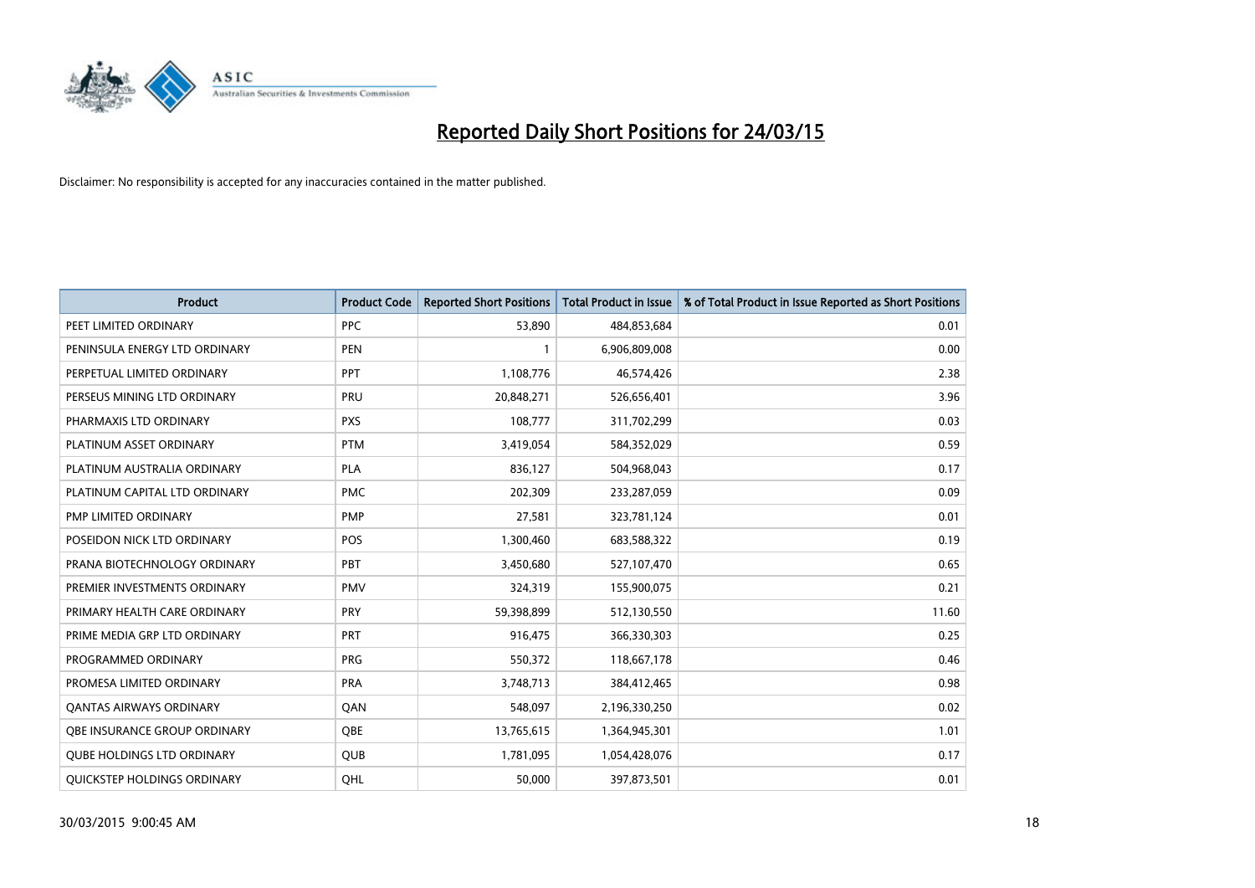

| <b>Product</b>                    | <b>Product Code</b> | <b>Reported Short Positions</b> | <b>Total Product in Issue</b> | % of Total Product in Issue Reported as Short Positions |
|-----------------------------------|---------------------|---------------------------------|-------------------------------|---------------------------------------------------------|
| PEET LIMITED ORDINARY             | <b>PPC</b>          | 53,890                          | 484,853,684                   | 0.01                                                    |
| PENINSULA ENERGY LTD ORDINARY     | <b>PEN</b>          | $\mathbf{1}$                    | 6,906,809,008                 | 0.00                                                    |
| PERPETUAL LIMITED ORDINARY        | PPT                 | 1,108,776                       | 46,574,426                    | 2.38                                                    |
| PERSEUS MINING LTD ORDINARY       | PRU                 | 20,848,271                      | 526,656,401                   | 3.96                                                    |
| PHARMAXIS LTD ORDINARY            | <b>PXS</b>          | 108,777                         | 311,702,299                   | 0.03                                                    |
| PLATINUM ASSET ORDINARY           | <b>PTM</b>          | 3,419,054                       | 584,352,029                   | 0.59                                                    |
| PLATINUM AUSTRALIA ORDINARY       | PLA                 | 836,127                         | 504,968,043                   | 0.17                                                    |
| PLATINUM CAPITAL LTD ORDINARY     | <b>PMC</b>          | 202,309                         | 233,287,059                   | 0.09                                                    |
| <b>PMP LIMITED ORDINARY</b>       | <b>PMP</b>          | 27,581                          | 323,781,124                   | 0.01                                                    |
| POSEIDON NICK LTD ORDINARY        | <b>POS</b>          | 1,300,460                       | 683,588,322                   | 0.19                                                    |
| PRANA BIOTECHNOLOGY ORDINARY      | PBT                 | 3,450,680                       | 527,107,470                   | 0.65                                                    |
| PREMIER INVESTMENTS ORDINARY      | <b>PMV</b>          | 324,319                         | 155,900,075                   | 0.21                                                    |
| PRIMARY HEALTH CARE ORDINARY      | <b>PRY</b>          | 59,398,899                      | 512,130,550                   | 11.60                                                   |
| PRIME MEDIA GRP LTD ORDINARY      | <b>PRT</b>          | 916,475                         | 366,330,303                   | 0.25                                                    |
| PROGRAMMED ORDINARY               | <b>PRG</b>          | 550,372                         | 118,667,178                   | 0.46                                                    |
| PROMESA LIMITED ORDINARY          | <b>PRA</b>          | 3,748,713                       | 384,412,465                   | 0.98                                                    |
| <b>QANTAS AIRWAYS ORDINARY</b>    | QAN                 | 548,097                         | 2,196,330,250                 | 0.02                                                    |
| OBE INSURANCE GROUP ORDINARY      | <b>OBE</b>          | 13,765,615                      | 1,364,945,301                 | 1.01                                                    |
| <b>QUBE HOLDINGS LTD ORDINARY</b> | <b>QUB</b>          | 1,781,095                       | 1,054,428,076                 | 0.17                                                    |
| QUICKSTEP HOLDINGS ORDINARY       | OHL                 | 50,000                          | 397,873,501                   | 0.01                                                    |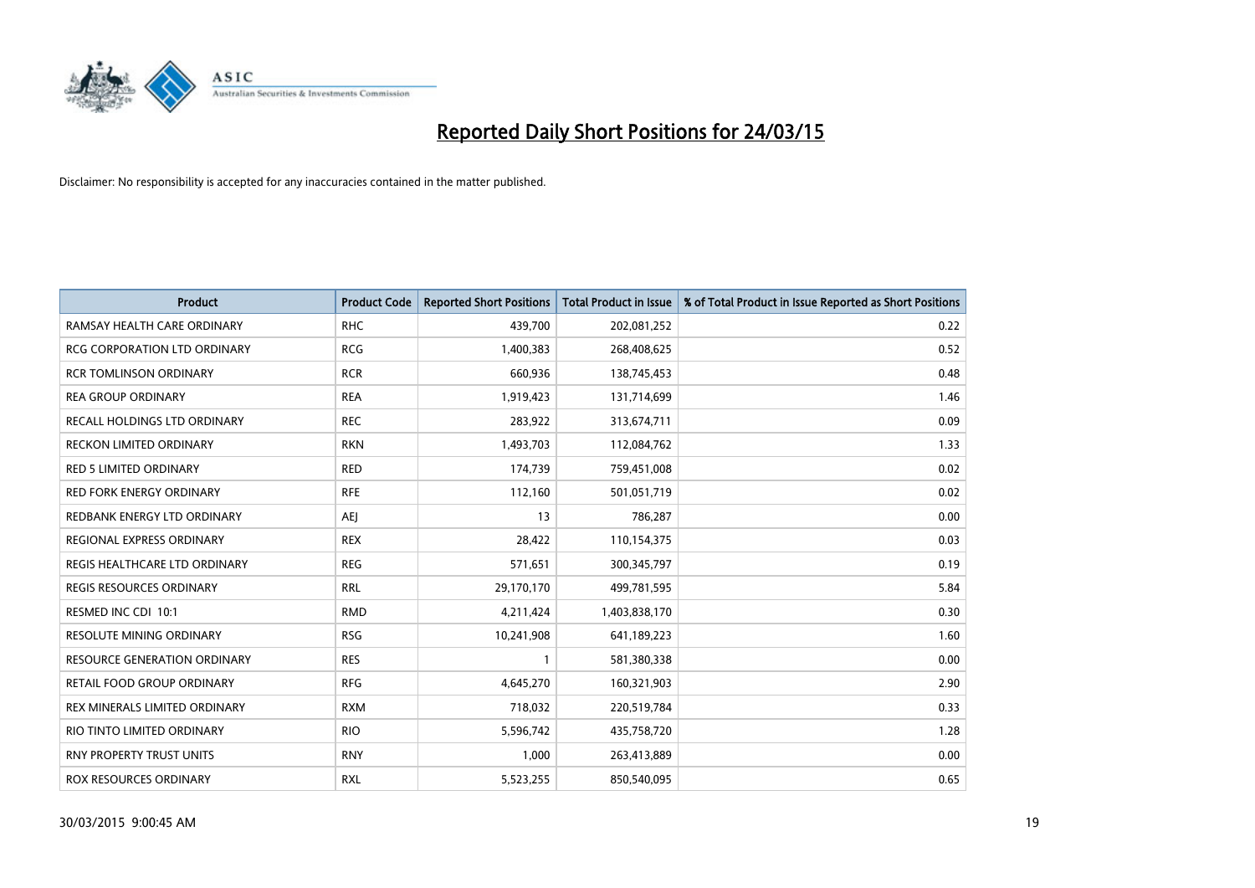

| <b>Product</b>                      | <b>Product Code</b> | <b>Reported Short Positions</b> | <b>Total Product in Issue</b> | % of Total Product in Issue Reported as Short Positions |
|-------------------------------------|---------------------|---------------------------------|-------------------------------|---------------------------------------------------------|
| RAMSAY HEALTH CARE ORDINARY         | <b>RHC</b>          | 439,700                         | 202,081,252                   | 0.22                                                    |
| RCG CORPORATION LTD ORDINARY        | <b>RCG</b>          | 1,400,383                       | 268,408,625                   | 0.52                                                    |
| <b>RCR TOMLINSON ORDINARY</b>       | <b>RCR</b>          | 660,936                         | 138,745,453                   | 0.48                                                    |
| <b>REA GROUP ORDINARY</b>           | <b>REA</b>          | 1,919,423                       | 131,714,699                   | 1.46                                                    |
| RECALL HOLDINGS LTD ORDINARY        | <b>REC</b>          | 283,922                         | 313,674,711                   | 0.09                                                    |
| <b>RECKON LIMITED ORDINARY</b>      | <b>RKN</b>          | 1,493,703                       | 112,084,762                   | 1.33                                                    |
| <b>RED 5 LIMITED ORDINARY</b>       | <b>RED</b>          | 174,739                         | 759,451,008                   | 0.02                                                    |
| RED FORK ENERGY ORDINARY            | <b>RFE</b>          | 112,160                         | 501,051,719                   | 0.02                                                    |
| REDBANK ENERGY LTD ORDINARY         | <b>AEI</b>          | 13                              | 786,287                       | 0.00                                                    |
| <b>REGIONAL EXPRESS ORDINARY</b>    | <b>REX</b>          | 28,422                          | 110,154,375                   | 0.03                                                    |
| REGIS HEALTHCARE LTD ORDINARY       | <b>REG</b>          | 571,651                         | 300,345,797                   | 0.19                                                    |
| <b>REGIS RESOURCES ORDINARY</b>     | <b>RRL</b>          | 29,170,170                      | 499,781,595                   | 5.84                                                    |
| RESMED INC CDI 10:1                 | <b>RMD</b>          | 4,211,424                       | 1,403,838,170                 | 0.30                                                    |
| RESOLUTE MINING ORDINARY            | <b>RSG</b>          | 10,241,908                      | 641,189,223                   | 1.60                                                    |
| <b>RESOURCE GENERATION ORDINARY</b> | <b>RES</b>          | 1                               | 581,380,338                   | 0.00                                                    |
| RETAIL FOOD GROUP ORDINARY          | <b>RFG</b>          | 4,645,270                       | 160,321,903                   | 2.90                                                    |
| REX MINERALS LIMITED ORDINARY       | <b>RXM</b>          | 718,032                         | 220,519,784                   | 0.33                                                    |
| RIO TINTO LIMITED ORDINARY          | <b>RIO</b>          | 5,596,742                       | 435,758,720                   | 1.28                                                    |
| <b>RNY PROPERTY TRUST UNITS</b>     | <b>RNY</b>          | 1,000                           | 263,413,889                   | 0.00                                                    |
| ROX RESOURCES ORDINARY              | <b>RXL</b>          | 5,523,255                       | 850,540,095                   | 0.65                                                    |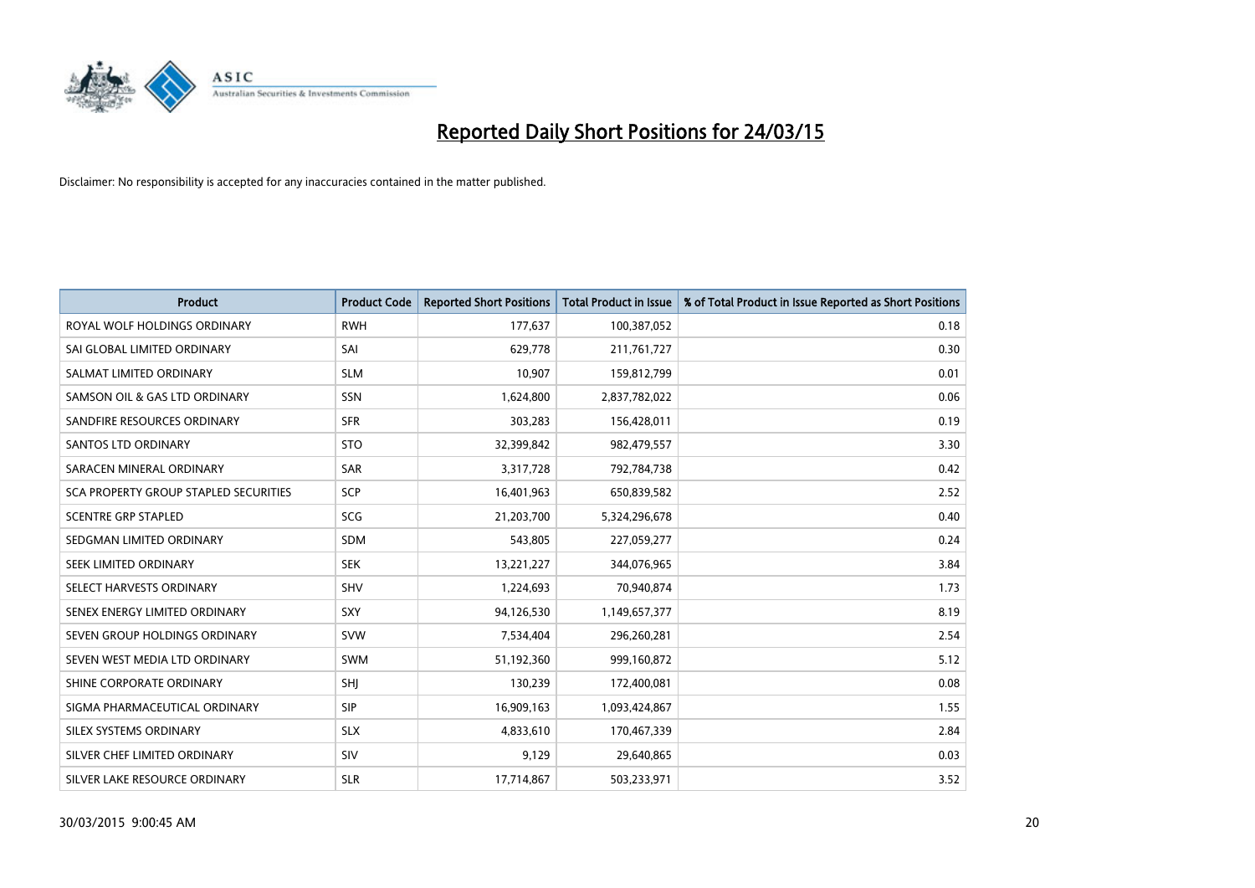

| <b>Product</b>                        | <b>Product Code</b> | <b>Reported Short Positions</b> | <b>Total Product in Issue</b> | % of Total Product in Issue Reported as Short Positions |
|---------------------------------------|---------------------|---------------------------------|-------------------------------|---------------------------------------------------------|
| ROYAL WOLF HOLDINGS ORDINARY          | <b>RWH</b>          | 177,637                         | 100,387,052                   | 0.18                                                    |
| SAI GLOBAL LIMITED ORDINARY           | SAI                 | 629,778                         | 211,761,727                   | 0.30                                                    |
| SALMAT LIMITED ORDINARY               | <b>SLM</b>          | 10,907                          | 159,812,799                   | 0.01                                                    |
| SAMSON OIL & GAS LTD ORDINARY         | SSN                 | 1,624,800                       | 2,837,782,022                 | 0.06                                                    |
| SANDFIRE RESOURCES ORDINARY           | <b>SFR</b>          | 303,283                         | 156,428,011                   | 0.19                                                    |
| SANTOS LTD ORDINARY                   | <b>STO</b>          | 32,399,842                      | 982,479,557                   | 3.30                                                    |
| SARACEN MINERAL ORDINARY              | <b>SAR</b>          | 3,317,728                       | 792,784,738                   | 0.42                                                    |
| SCA PROPERTY GROUP STAPLED SECURITIES | SCP                 | 16,401,963                      | 650,839,582                   | 2.52                                                    |
| <b>SCENTRE GRP STAPLED</b>            | SCG                 | 21,203,700                      | 5,324,296,678                 | 0.40                                                    |
| SEDGMAN LIMITED ORDINARY              | <b>SDM</b>          | 543,805                         | 227,059,277                   | 0.24                                                    |
| SEEK LIMITED ORDINARY                 | <b>SEK</b>          | 13,221,227                      | 344,076,965                   | 3.84                                                    |
| SELECT HARVESTS ORDINARY              | SHV                 | 1,224,693                       | 70,940,874                    | 1.73                                                    |
| SENEX ENERGY LIMITED ORDINARY         | <b>SXY</b>          | 94,126,530                      | 1,149,657,377                 | 8.19                                                    |
| SEVEN GROUP HOLDINGS ORDINARY         | <b>SVW</b>          | 7,534,404                       | 296,260,281                   | 2.54                                                    |
| SEVEN WEST MEDIA LTD ORDINARY         | <b>SWM</b>          | 51,192,360                      | 999,160,872                   | 5.12                                                    |
| SHINE CORPORATE ORDINARY              | SHJ                 | 130,239                         | 172,400,081                   | 0.08                                                    |
| SIGMA PHARMACEUTICAL ORDINARY         | <b>SIP</b>          | 16,909,163                      | 1,093,424,867                 | 1.55                                                    |
| SILEX SYSTEMS ORDINARY                | <b>SLX</b>          | 4,833,610                       | 170,467,339                   | 2.84                                                    |
| SILVER CHEF LIMITED ORDINARY          | SIV                 | 9,129                           | 29,640,865                    | 0.03                                                    |
| SILVER LAKE RESOURCE ORDINARY         | <b>SLR</b>          | 17,714,867                      | 503,233,971                   | 3.52                                                    |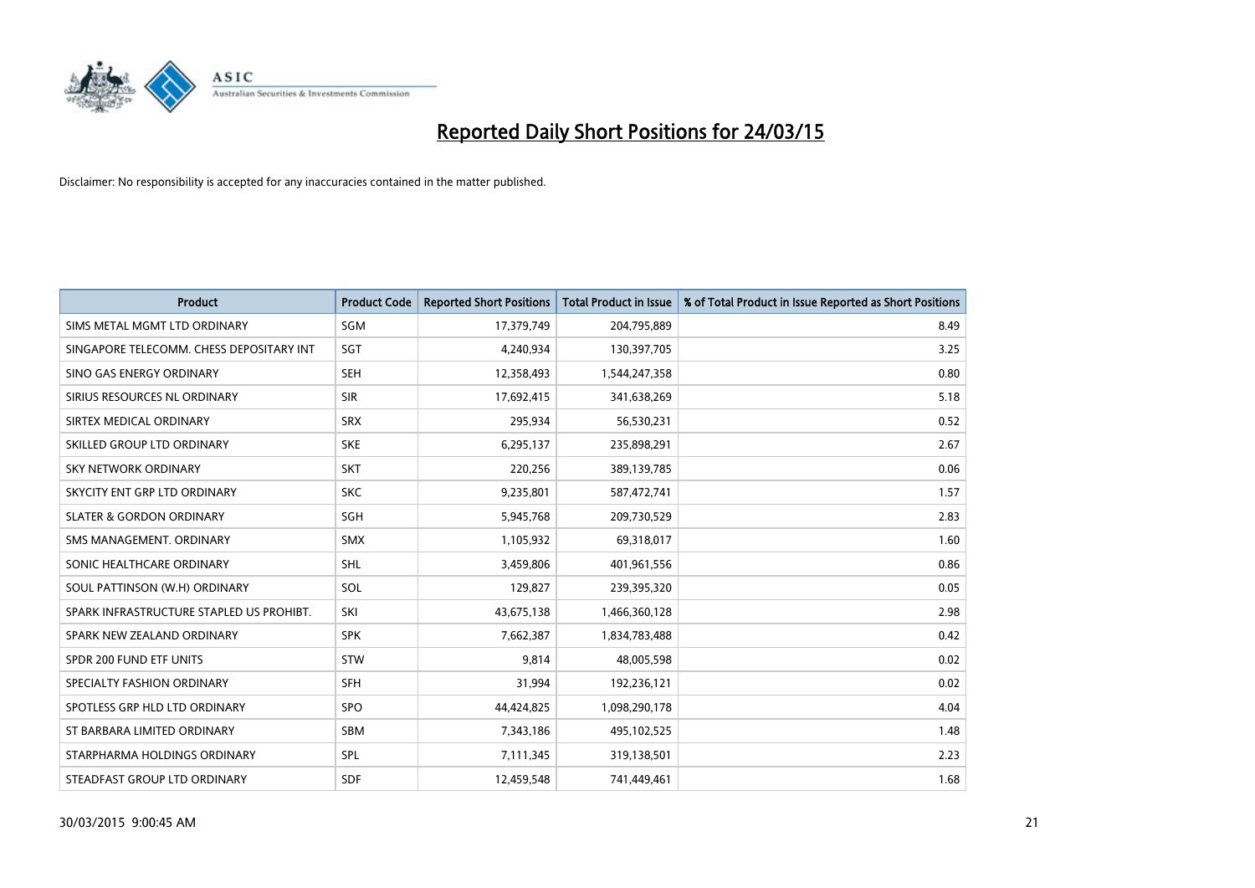

| <b>Product</b>                           | <b>Product Code</b> | <b>Reported Short Positions</b> | <b>Total Product in Issue</b> | % of Total Product in Issue Reported as Short Positions |
|------------------------------------------|---------------------|---------------------------------|-------------------------------|---------------------------------------------------------|
| SIMS METAL MGMT LTD ORDINARY             | SGM                 | 17,379,749                      | 204,795,889                   | 8.49                                                    |
| SINGAPORE TELECOMM. CHESS DEPOSITARY INT | <b>SGT</b>          | 4,240,934                       | 130,397,705                   | 3.25                                                    |
| SINO GAS ENERGY ORDINARY                 | <b>SEH</b>          | 12,358,493                      | 1,544,247,358                 | 0.80                                                    |
| SIRIUS RESOURCES NL ORDINARY             | <b>SIR</b>          | 17,692,415                      | 341,638,269                   | 5.18                                                    |
| SIRTEX MEDICAL ORDINARY                  | <b>SRX</b>          | 295,934                         | 56,530,231                    | 0.52                                                    |
| SKILLED GROUP LTD ORDINARY               | <b>SKE</b>          | 6,295,137                       | 235,898,291                   | 2.67                                                    |
| SKY NETWORK ORDINARY                     | <b>SKT</b>          | 220,256                         | 389,139,785                   | 0.06                                                    |
| SKYCITY ENT GRP LTD ORDINARY             | <b>SKC</b>          | 9,235,801                       | 587,472,741                   | 1.57                                                    |
| <b>SLATER &amp; GORDON ORDINARY</b>      | <b>SGH</b>          | 5,945,768                       | 209,730,529                   | 2.83                                                    |
| SMS MANAGEMENT, ORDINARY                 | <b>SMX</b>          | 1,105,932                       | 69,318,017                    | 1.60                                                    |
| SONIC HEALTHCARE ORDINARY                | <b>SHL</b>          | 3,459,806                       | 401,961,556                   | 0.86                                                    |
| SOUL PATTINSON (W.H) ORDINARY            | SOL                 | 129,827                         | 239,395,320                   | 0.05                                                    |
| SPARK INFRASTRUCTURE STAPLED US PROHIBT. | SKI                 | 43,675,138                      | 1,466,360,128                 | 2.98                                                    |
| SPARK NEW ZEALAND ORDINARY               | <b>SPK</b>          | 7,662,387                       | 1,834,783,488                 | 0.42                                                    |
| SPDR 200 FUND ETF UNITS                  | <b>STW</b>          | 9,814                           | 48,005,598                    | 0.02                                                    |
| SPECIALTY FASHION ORDINARY               | SFH                 | 31,994                          | 192,236,121                   | 0.02                                                    |
| SPOTLESS GRP HLD LTD ORDINARY            | SPO                 | 44,424,825                      | 1,098,290,178                 | 4.04                                                    |
| ST BARBARA LIMITED ORDINARY              | <b>SBM</b>          | 7,343,186                       | 495,102,525                   | 1.48                                                    |
| STARPHARMA HOLDINGS ORDINARY             | SPL                 | 7,111,345                       | 319,138,501                   | 2.23                                                    |
| STEADFAST GROUP LTD ORDINARY             | <b>SDF</b>          | 12,459,548                      | 741,449,461                   | 1.68                                                    |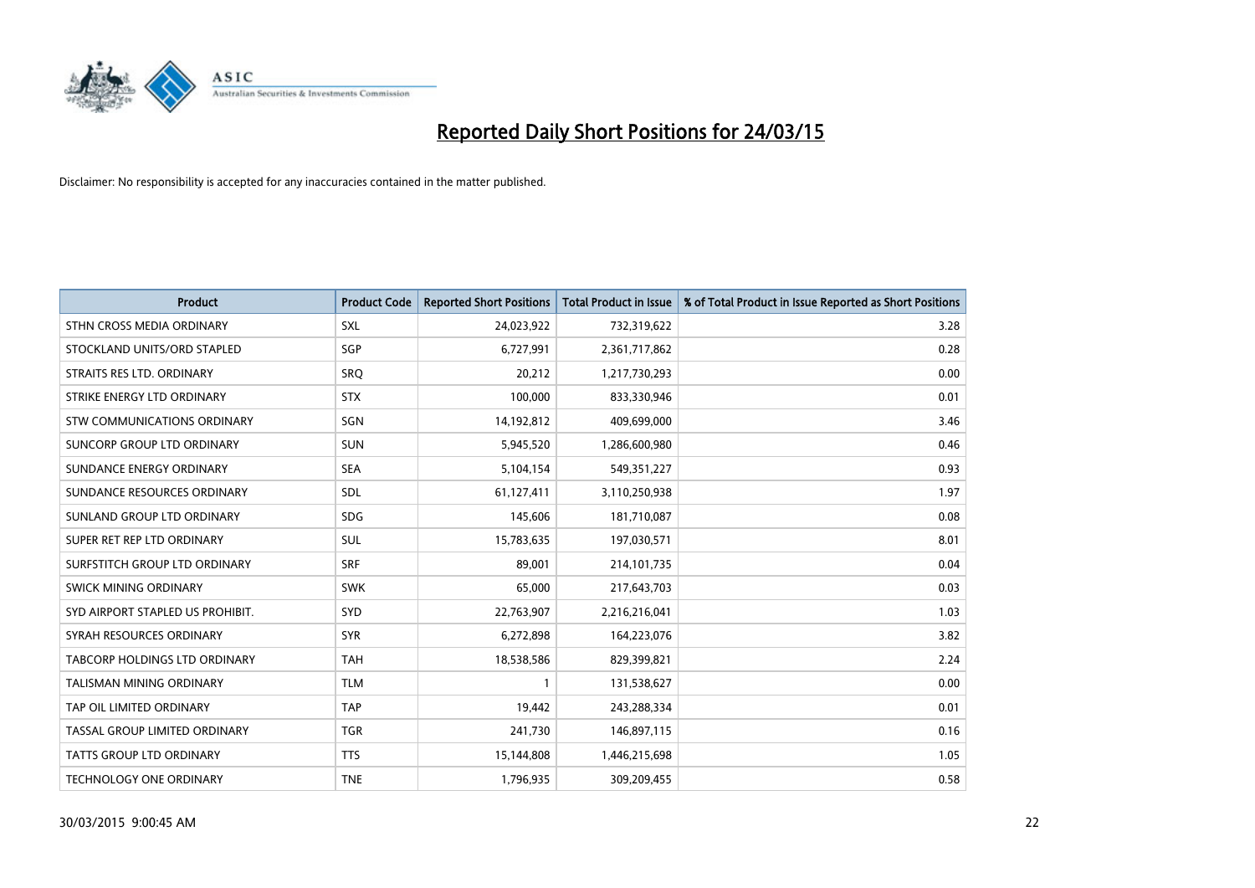

| <b>Product</b>                   | <b>Product Code</b> | <b>Reported Short Positions</b> | <b>Total Product in Issue</b> | % of Total Product in Issue Reported as Short Positions |
|----------------------------------|---------------------|---------------------------------|-------------------------------|---------------------------------------------------------|
| STHN CROSS MEDIA ORDINARY        | <b>SXL</b>          | 24,023,922                      | 732,319,622                   | 3.28                                                    |
| STOCKLAND UNITS/ORD STAPLED      | SGP                 | 6,727,991                       | 2,361,717,862                 | 0.28                                                    |
| STRAITS RES LTD. ORDINARY        | SRO                 | 20,212                          | 1,217,730,293                 | 0.00                                                    |
| STRIKE ENERGY LTD ORDINARY       | <b>STX</b>          | 100,000                         | 833,330,946                   | 0.01                                                    |
| STW COMMUNICATIONS ORDINARY      | SGN                 | 14,192,812                      | 409,699,000                   | 3.46                                                    |
| SUNCORP GROUP LTD ORDINARY       | <b>SUN</b>          | 5,945,520                       | 1,286,600,980                 | 0.46                                                    |
| SUNDANCE ENERGY ORDINARY         | <b>SEA</b>          | 5,104,154                       | 549,351,227                   | 0.93                                                    |
| SUNDANCE RESOURCES ORDINARY      | SDL                 | 61,127,411                      | 3,110,250,938                 | 1.97                                                    |
| SUNLAND GROUP LTD ORDINARY       | <b>SDG</b>          | 145,606                         | 181,710,087                   | 0.08                                                    |
| SUPER RET REP LTD ORDINARY       | <b>SUL</b>          | 15,783,635                      | 197,030,571                   | 8.01                                                    |
| SURFSTITCH GROUP LTD ORDINARY    | <b>SRF</b>          | 89,001                          | 214,101,735                   | 0.04                                                    |
| <b>SWICK MINING ORDINARY</b>     | <b>SWK</b>          | 65,000                          | 217,643,703                   | 0.03                                                    |
| SYD AIRPORT STAPLED US PROHIBIT. | <b>SYD</b>          | 22,763,907                      | 2,216,216,041                 | 1.03                                                    |
| SYRAH RESOURCES ORDINARY         | <b>SYR</b>          | 6,272,898                       | 164,223,076                   | 3.82                                                    |
| TABCORP HOLDINGS LTD ORDINARY    | <b>TAH</b>          | 18,538,586                      | 829,399,821                   | 2.24                                                    |
| TALISMAN MINING ORDINARY         | <b>TLM</b>          |                                 | 131,538,627                   | 0.00                                                    |
| TAP OIL LIMITED ORDINARY         | <b>TAP</b>          | 19,442                          | 243,288,334                   | 0.01                                                    |
| TASSAL GROUP LIMITED ORDINARY    | <b>TGR</b>          | 241,730                         | 146,897,115                   | 0.16                                                    |
| <b>TATTS GROUP LTD ORDINARY</b>  | <b>TTS</b>          | 15,144,808                      | 1,446,215,698                 | 1.05                                                    |
| TECHNOLOGY ONE ORDINARY          | <b>TNE</b>          | 1,796,935                       | 309,209,455                   | 0.58                                                    |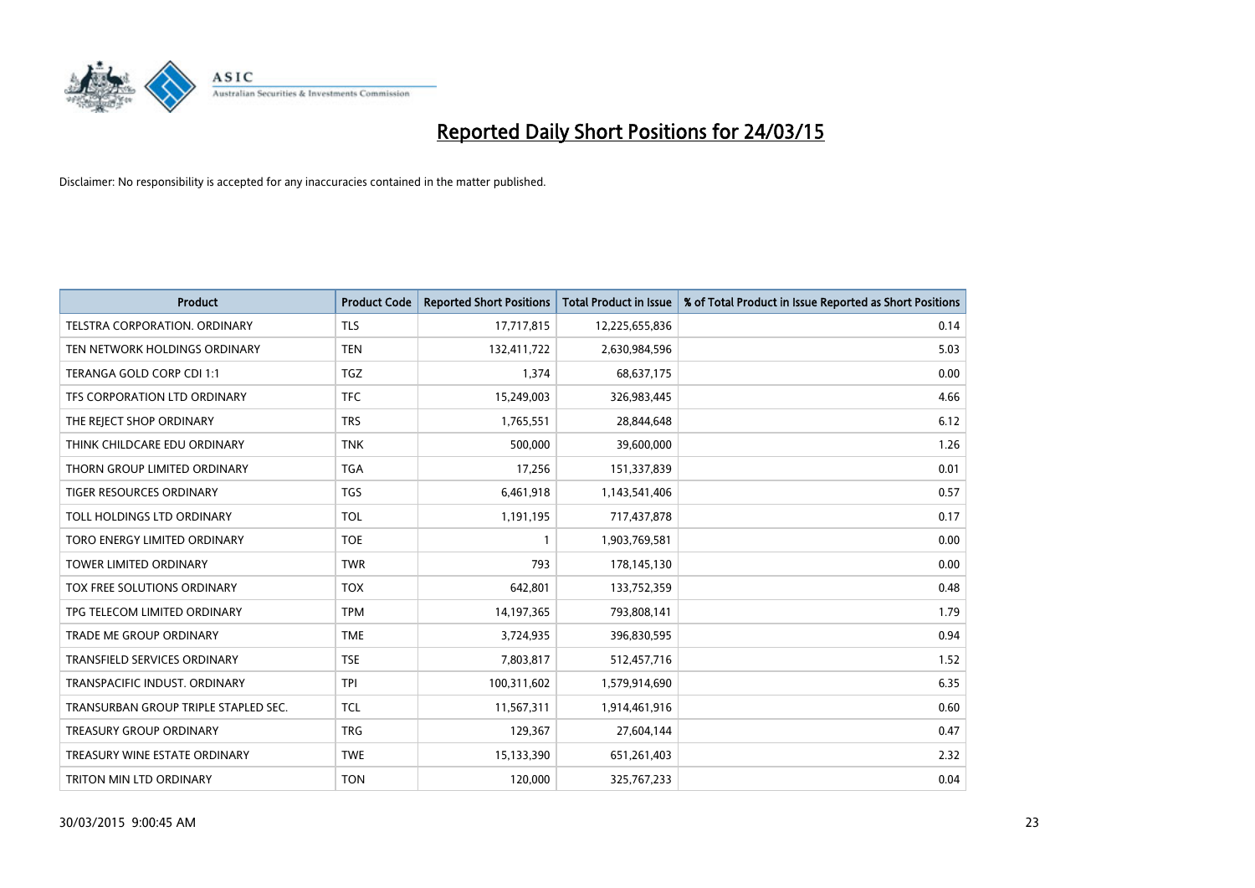

| <b>Product</b>                       | <b>Product Code</b> | <b>Reported Short Positions</b> | <b>Total Product in Issue</b> | % of Total Product in Issue Reported as Short Positions |
|--------------------------------------|---------------------|---------------------------------|-------------------------------|---------------------------------------------------------|
| <b>TELSTRA CORPORATION, ORDINARY</b> | <b>TLS</b>          | 17,717,815                      | 12,225,655,836                | 0.14                                                    |
| TEN NETWORK HOLDINGS ORDINARY        | <b>TEN</b>          | 132,411,722                     | 2,630,984,596                 | 5.03                                                    |
| TERANGA GOLD CORP CDI 1:1            | <b>TGZ</b>          | 1,374                           | 68,637,175                    | 0.00                                                    |
| TFS CORPORATION LTD ORDINARY         | <b>TFC</b>          | 15,249,003                      | 326,983,445                   | 4.66                                                    |
| THE REJECT SHOP ORDINARY             | <b>TRS</b>          | 1,765,551                       | 28,844,648                    | 6.12                                                    |
| THINK CHILDCARE EDU ORDINARY         | <b>TNK</b>          | 500,000                         | 39,600,000                    | 1.26                                                    |
| THORN GROUP LIMITED ORDINARY         | <b>TGA</b>          | 17,256                          | 151,337,839                   | 0.01                                                    |
| TIGER RESOURCES ORDINARY             | <b>TGS</b>          | 6,461,918                       | 1,143,541,406                 | 0.57                                                    |
| TOLL HOLDINGS LTD ORDINARY           | <b>TOL</b>          | 1,191,195                       | 717,437,878                   | 0.17                                                    |
| TORO ENERGY LIMITED ORDINARY         | <b>TOE</b>          | $\mathbf{1}$                    | 1,903,769,581                 | 0.00                                                    |
| <b>TOWER LIMITED ORDINARY</b>        | <b>TWR</b>          | 793                             | 178,145,130                   | 0.00                                                    |
| TOX FREE SOLUTIONS ORDINARY          | <b>TOX</b>          | 642,801                         | 133,752,359                   | 0.48                                                    |
| TPG TELECOM LIMITED ORDINARY         | <b>TPM</b>          | 14,197,365                      | 793,808,141                   | 1.79                                                    |
| <b>TRADE ME GROUP ORDINARY</b>       | <b>TME</b>          | 3,724,935                       | 396,830,595                   | 0.94                                                    |
| TRANSFIELD SERVICES ORDINARY         | <b>TSE</b>          | 7,803,817                       | 512,457,716                   | 1.52                                                    |
| TRANSPACIFIC INDUST, ORDINARY        | <b>TPI</b>          | 100,311,602                     | 1,579,914,690                 | 6.35                                                    |
| TRANSURBAN GROUP TRIPLE STAPLED SEC. | <b>TCL</b>          | 11,567,311                      | 1,914,461,916                 | 0.60                                                    |
| TREASURY GROUP ORDINARY              | <b>TRG</b>          | 129,367                         | 27,604,144                    | 0.47                                                    |
| TREASURY WINE ESTATE ORDINARY        | <b>TWE</b>          | 15,133,390                      | 651,261,403                   | 2.32                                                    |
| TRITON MIN LTD ORDINARY              | <b>TON</b>          | 120,000                         | 325,767,233                   | 0.04                                                    |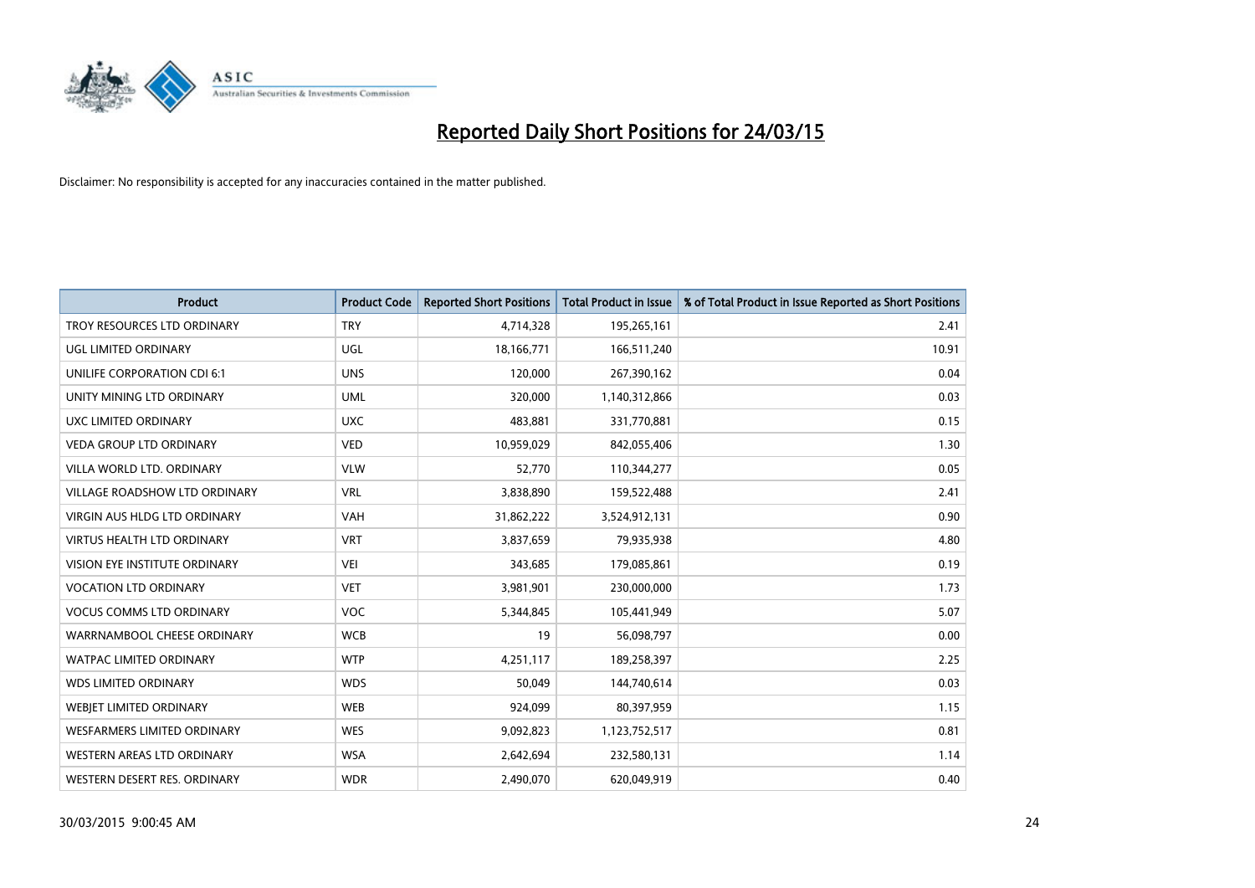

| <b>Product</b>                    | <b>Product Code</b> | <b>Reported Short Positions</b> | <b>Total Product in Issue</b> | % of Total Product in Issue Reported as Short Positions |
|-----------------------------------|---------------------|---------------------------------|-------------------------------|---------------------------------------------------------|
| TROY RESOURCES LTD ORDINARY       | <b>TRY</b>          | 4,714,328                       | 195,265,161                   | 2.41                                                    |
| UGL LIMITED ORDINARY              | UGL                 | 18,166,771                      | 166,511,240                   | 10.91                                                   |
| UNILIFE CORPORATION CDI 6:1       | <b>UNS</b>          | 120,000                         | 267,390,162                   | 0.04                                                    |
| UNITY MINING LTD ORDINARY         | <b>UML</b>          | 320,000                         | 1,140,312,866                 | 0.03                                                    |
| UXC LIMITED ORDINARY              | <b>UXC</b>          | 483,881                         | 331,770,881                   | 0.15                                                    |
| <b>VEDA GROUP LTD ORDINARY</b>    | <b>VED</b>          | 10,959,029                      | 842,055,406                   | 1.30                                                    |
| VILLA WORLD LTD, ORDINARY         | <b>VLW</b>          | 52,770                          | 110,344,277                   | 0.05                                                    |
| VILLAGE ROADSHOW LTD ORDINARY     | <b>VRL</b>          | 3,838,890                       | 159,522,488                   | 2.41                                                    |
| VIRGIN AUS HLDG LTD ORDINARY      | <b>VAH</b>          | 31,862,222                      | 3,524,912,131                 | 0.90                                                    |
| <b>VIRTUS HEALTH LTD ORDINARY</b> | <b>VRT</b>          | 3,837,659                       | 79,935,938                    | 4.80                                                    |
| VISION EYE INSTITUTE ORDINARY     | <b>VEI</b>          | 343,685                         | 179,085,861                   | 0.19                                                    |
| <b>VOCATION LTD ORDINARY</b>      | <b>VET</b>          | 3,981,901                       | 230,000,000                   | 1.73                                                    |
| <b>VOCUS COMMS LTD ORDINARY</b>   | <b>VOC</b>          | 5,344,845                       | 105,441,949                   | 5.07                                                    |
| WARRNAMBOOL CHEESE ORDINARY       | <b>WCB</b>          | 19                              | 56,098,797                    | 0.00                                                    |
| <b>WATPAC LIMITED ORDINARY</b>    | <b>WTP</b>          | 4,251,117                       | 189,258,397                   | 2.25                                                    |
| <b>WDS LIMITED ORDINARY</b>       | <b>WDS</b>          | 50,049                          | 144,740,614                   | 0.03                                                    |
| WEBJET LIMITED ORDINARY           | <b>WEB</b>          | 924,099                         | 80,397,959                    | 1.15                                                    |
| WESFARMERS LIMITED ORDINARY       | <b>WES</b>          | 9,092,823                       | 1,123,752,517                 | 0.81                                                    |
| WESTERN AREAS LTD ORDINARY        | <b>WSA</b>          | 2,642,694                       | 232,580,131                   | 1.14                                                    |
| WESTERN DESERT RES. ORDINARY      | <b>WDR</b>          | 2,490,070                       | 620,049,919                   | 0.40                                                    |